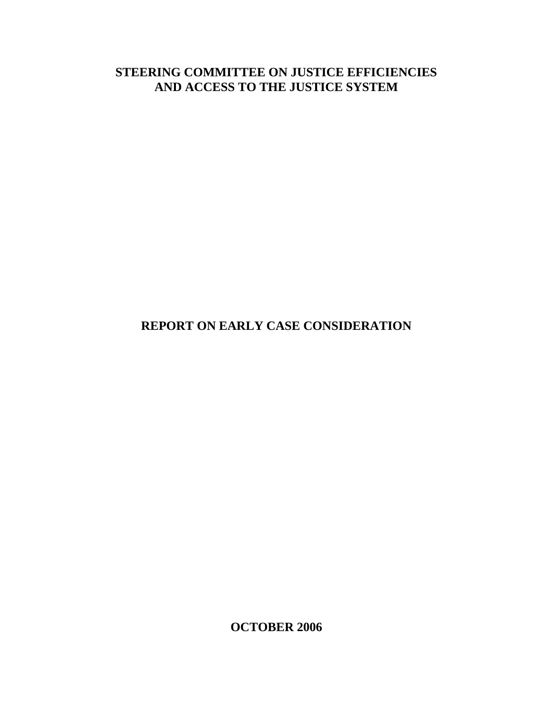# **STEERING COMMITTEE ON JUSTICE EFFICIENCIES AND ACCESS TO THE JUSTICE SYSTEM**

# **REPORT ON EARLY CASE CONSIDERATION**

**OCTOBER 2006**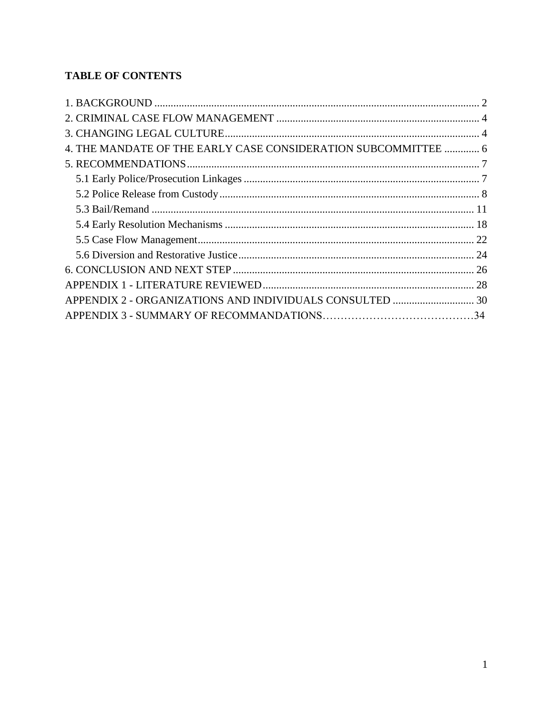## **TABLE OF CONTENTS**

<span id="page-1-0"></span>

| 4. THE MANDATE OF THE EARLY CASE CONSIDERATION SUBCOMMITTEE  6 |  |
|----------------------------------------------------------------|--|
|                                                                |  |
|                                                                |  |
|                                                                |  |
|                                                                |  |
|                                                                |  |
|                                                                |  |
|                                                                |  |
|                                                                |  |
|                                                                |  |
|                                                                |  |
|                                                                |  |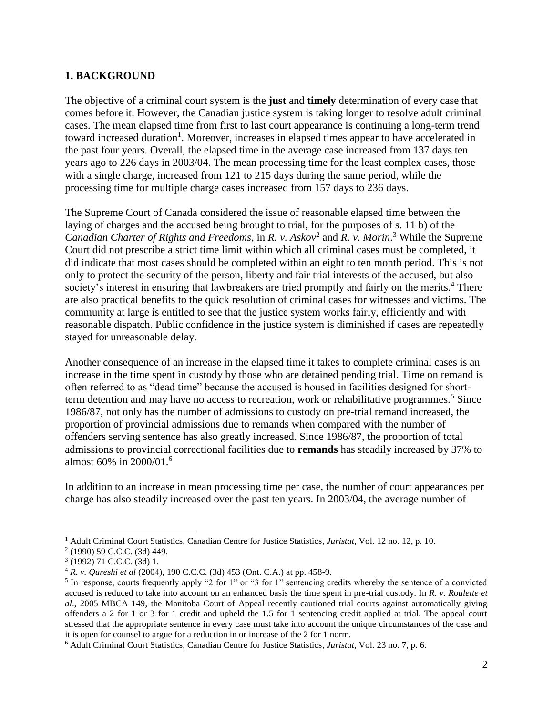#### **1. BACKGROUND**

The objective of a criminal court system is the **just** and **timely** determination of every case that comes before it. However, the Canadian justice system is taking longer to resolve adult criminal cases. The mean elapsed time from first to last court appearance is continuing a long-term trend toward increased duration<sup>1</sup>. Moreover, increases in elapsed times appear to have accelerated in the past four years. Overall, the elapsed time in the average case increased from 137 days ten years ago to 226 days in 2003/04. The mean processing time for the least complex cases, those with a single charge, increased from 121 to 215 days during the same period, while the processing time for multiple charge cases increased from 157 days to 236 days.

The Supreme Court of Canada considered the issue of reasonable elapsed time between the laying of charges and the accused being brought to trial, for the purposes of s. 11 b) of the *Canadian Charter of Rights and Freedoms*, in *R. v. Askov*<sup>2</sup> and *R. v. Morin*. <sup>3</sup> While the Supreme Court did not prescribe a strict time limit within which all criminal cases must be completed, it did indicate that most cases should be completed within an eight to ten month period. This is not only to protect the security of the person, liberty and fair trial interests of the accused, but also society's interest in ensuring that lawbreakers are tried promptly and fairly on the merits.<sup>4</sup> There are also practical benefits to the quick resolution of criminal cases for witnesses and victims. The community at large is entitled to see that the justice system works fairly, efficiently and with reasonable dispatch. Public confidence in the justice system is diminished if cases are repeatedly stayed for unreasonable delay.

Another consequence of an increase in the elapsed time it takes to complete criminal cases is an increase in the time spent in custody by those who are detained pending trial. Time on remand is often referred to as "dead time" because the accused is housed in facilities designed for shortterm detention and may have no access to recreation, work or rehabilitative programmes.<sup>5</sup> Since 1986/87, not only has the number of admissions to custody on pre-trial remand increased, the proportion of provincial admissions due to remands when compared with the number of offenders serving sentence has also greatly increased. Since 1986/87, the proportion of total admissions to provincial correctional facilities due to **remands** has steadily increased by 37% to almost 60% in 2000/01.<sup>6</sup>

In addition to an increase in mean processing time per case, the number of court appearances per charge has also steadily increased over the past ten years. In 2003/04, the average number of

 $\overline{a}$ 

<sup>1</sup> Adult Criminal Court Statistics, Canadian Centre for Justice Statistics*, Juristat*, Vol. 12 no. 12, p. 10.

<sup>2</sup> (1990) 59 C.C.C. (3d) 449.

<sup>3</sup> (1992) 71 C.C.C. (3d) 1.

<sup>4</sup> *R. v. Qureshi et al* (2004), 190 C.C.C. (3d) 453 (Ont. C.A.) at pp. 458-9.

<sup>&</sup>lt;sup>5</sup> In response, courts frequently apply "2 for 1" or "3 for 1" sentencing credits whereby the sentence of a convicted accused is reduced to take into account on an enhanced basis the time spent in pre-trial custody. In *R. v. Roulette et al*., 2005 MBCA 149, the Manitoba Court of Appeal recently cautioned trial courts against automatically giving offenders a 2 for 1 or 3 for 1 credit and upheld the 1.5 for 1 sentencing credit applied at trial. The appeal court stressed that the appropriate sentence in every case must take into account the unique circumstances of the case and it is open for counsel to argue for a reduction in or increase of the 2 for 1 norm.

<sup>6</sup> Adult Criminal Court Statistics, Canadian Centre for Justice Statistics*, Juristat*, Vol. 23 no. 7, p. 6.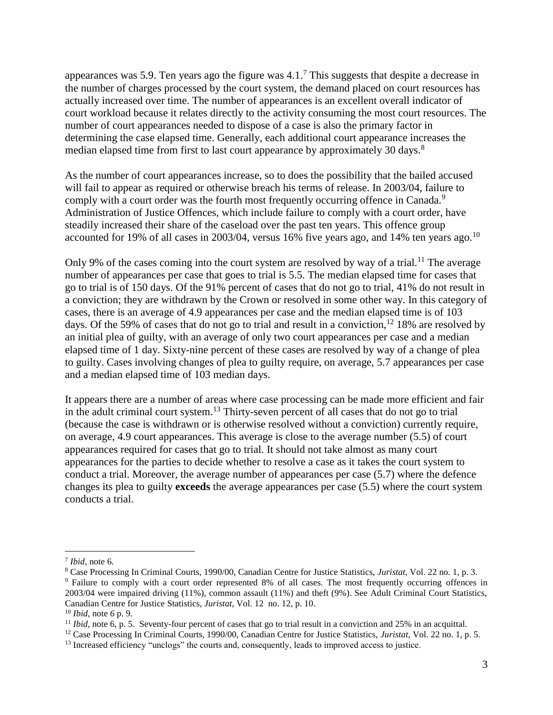appearances was 5.9. Ten years ago the figure was  $4.1$ .<sup>7</sup> This suggests that despite a decrease in the number of charges processed by the court system, the demand placed on court resources has actually increased over time. The number of appearances is an excellent overall indicator of court workload because it relates directly to the activity consuming the most court resources. The number of court appearances needed to dispose of a case is also the primary factor in determining the case elapsed time. Generally, each additional court appearance increases the median elapsed time from first to last court appearance by approximately 30 days.<sup>8</sup>

As the number of court appearances increase, so to does the possibility that the bailed accused will fail to appear as required or otherwise breach his terms of release. In 2003/04, failure to comply with a court order was the fourth most frequently occurring offence in Canada.<sup>9</sup> Administration of Justice Offences, which include failure to comply with a court order, have steadily increased their share of the caseload over the past ten years. This offence group accounted for 19% of all cases in 2003/04, versus 16% five years ago, and 14% ten years ago.<sup>10</sup>

Only 9% of the cases coming into the court system are resolved by way of a trial.<sup>11</sup> The average number of appearances per case that goes to trial is 5.5. The median elapsed time for cases that go to trial is of 150 days. Of the 91% percent of cases that do not go to trial, 41% do not result in a conviction; they are withdrawn by the Crown or resolved in some other way. In this category of cases, there is an average of 4.9 appearances per case and the median elapsed time is of 103 days. Of the 59% of cases that do not go to trial and result in a conviction,<sup>12</sup> 18% are resolved by an initial plea of guilty, with an average of only two court appearances per case and a median elapsed time of 1 day. Sixty-nine percent of these cases are resolved by way of a change of plea to guilty. Cases involving changes of plea to guilty require, on average, 5.7 appearances per case and a median elapsed time of 103 median days.

It appears there are a number of areas where case processing can be made more efficient and fair in the adult criminal court system.<sup>13</sup> Thirty-seven percent of all cases that do not go to trial (because the case is withdrawn or is otherwise resolved without a conviction) currently require, on average, 4.9 court appearances. This average is close to the average number (5.5) of court appearances required for cases that go to trial. It should not take almost as many court appearances for the parties to decide whether to resolve a case as it takes the court system to conduct a trial. Moreover, the average number of appearances per case (5.7) where the defence changes its plea to guilty **exceeds** the average appearances per case (5.5) where the court system conducts a trial.

 $\overline{a}$ 

<sup>7</sup> *Ibid,* note 6*.*

<sup>8</sup> Case Processing In Criminal Courts, 1990/00, Canadian Centre for Justice Statistics, *Juristat*, Vol. 22 no. 1, p. 3. <sup>9</sup> Failure to comply with a court order represented 8% of all cases. The most frequently occurring offences in 2003/04 were impaired driving (11%), common assault (11%) and theft (9%). See Adult Criminal Court Statistics, Canadian Centre for Justice Statistics*, Juristat*, Vol. 12 no. 12, p. 10.

<sup>10</sup> *Ibid,* note *6* p. 9.

<sup>&</sup>lt;sup>11</sup> *Ibid*, note 6, p. 5. Seventy-four percent of cases that go to trial result in a conviction and 25% in an acquittal.

<sup>12</sup> Case Processing In Criminal Courts, 1990/00, Canadian Centre for Justice Statistics, *Juristat*, Vol. 22 no. 1, p. 5.

<sup>&</sup>lt;sup>13</sup> Increased efficiency "unclogs" the courts and, consequently, leads to improved access to justice.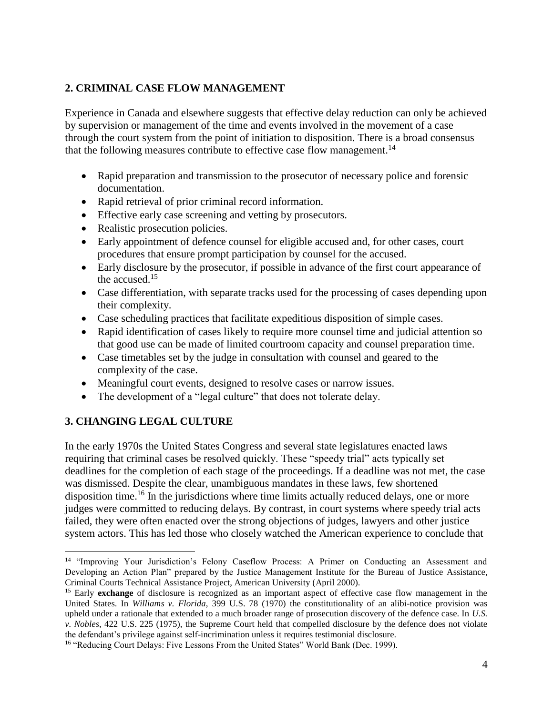## <span id="page-4-0"></span>**2. CRIMINAL CASE FLOW MANAGEMENT**

Experience in Canada and elsewhere suggests that effective delay reduction can only be achieved by supervision or management of the time and events involved in the movement of a case through the court system from the point of initiation to disposition. There is a broad consensus that the following measures contribute to effective case flow management.<sup>14</sup>

- Rapid preparation and transmission to the prosecutor of necessary police and forensic documentation.
- Rapid retrieval of prior criminal record information.
- Effective early case screening and vetting by prosecutors.
- Realistic prosecution policies.
- Early appointment of defence counsel for eligible accused and, for other cases, court procedures that ensure prompt participation by counsel for the accused.
- Early disclosure by the prosecutor, if possible in advance of the first court appearance of the accused.<sup>15</sup>
- Case differentiation, with separate tracks used for the processing of cases depending upon their complexity.
- Case scheduling practices that facilitate expeditious disposition of simple cases.
- Rapid identification of cases likely to require more counsel time and judicial attention so that good use can be made of limited courtroom capacity and counsel preparation time.
- Case timetables set by the judge in consultation with counsel and geared to the complexity of the case.
- Meaningful court events, designed to resolve cases or narrow issues.
- The development of a "legal culture" that does not tolerate delay.

## <span id="page-4-1"></span>**3. CHANGING LEGAL CULTURE**

 $\overline{a}$ 

In the early 1970s the United States Congress and several state legislatures enacted laws requiring that criminal cases be resolved quickly. These "speedy trial" acts typically set deadlines for the completion of each stage of the proceedings. If a deadline was not met, the case was dismissed. Despite the clear, unambiguous mandates in these laws, few shortened disposition time.<sup>16</sup> In the jurisdictions where time limits actually reduced delays, one or more judges were committed to reducing delays. By contrast, in court systems where speedy trial acts failed, they were often enacted over the strong objections of judges, lawyers and other justice system actors. This has led those who closely watched the American experience to conclude that

<sup>&</sup>lt;sup>14</sup> "Improving Your Jurisdiction's Felony Caseflow Process: A Primer on Conducting an Assessment and Developing an Action Plan" prepared by the Justice Management Institute for the Bureau of Justice Assistance, Criminal Courts Technical Assistance Project, American University (April 2000).

<sup>&</sup>lt;sup>15</sup> Early **exchange** of disclosure is recognized as an important aspect of effective case flow management in the United States. In *Williams v. Florida*, 399 U.S. 78 (1970) the constitutionality of an alibi-notice provision was upheld under a rationale that extended to a much broader range of prosecution discovery of the defence case. In *U.S. v. Nobles*, 422 U.S. 225 (1975), the Supreme Court held that compelled disclosure by the defence does not violate the defendant's privilege against self-incrimination unless it requires testimonial disclosure.

<sup>&</sup>lt;sup>16</sup> "Reducing Court Delays: Five Lessons From the United States" World Bank (Dec. 1999).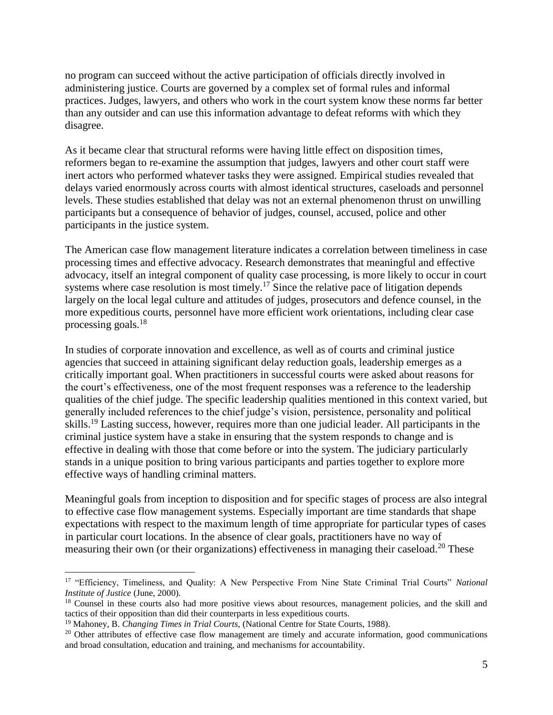no program can succeed without the active participation of officials directly involved in administering justice. Courts are governed by a complex set of formal rules and informal practices. Judges, lawyers, and others who work in the court system know these norms far better than any outsider and can use this information advantage to defeat reforms with which they disagree.

As it became clear that structural reforms were having little effect on disposition times, reformers began to re-examine the assumption that judges, lawyers and other court staff were inert actors who performed whatever tasks they were assigned. Empirical studies revealed that delays varied enormously across courts with almost identical structures, caseloads and personnel levels. These studies established that delay was not an external phenomenon thrust on unwilling participants but a consequence of behavior of judges, counsel, accused, police and other participants in the justice system.

The American case flow management literature indicates a correlation between timeliness in case processing times and effective advocacy. Research demonstrates that meaningful and effective advocacy, itself an integral component of quality case processing, is more likely to occur in court systems where case resolution is most timely.<sup>17</sup> Since the relative pace of litigation depends largely on the local legal culture and attitudes of judges, prosecutors and defence counsel, in the more expeditious courts, personnel have more efficient work orientations, including clear case processing goals.<sup>18</sup>

In studies of corporate innovation and excellence, as well as of courts and criminal justice agencies that succeed in attaining significant delay reduction goals, leadership emerges as a critically important goal. When practitioners in successful courts were asked about reasons for the court's effectiveness, one of the most frequent responses was a reference to the leadership qualities of the chief judge. The specific leadership qualities mentioned in this context varied, but generally included references to the chief judge's vision, persistence, personality and political skills.<sup>19</sup> Lasting success, however, requires more than one judicial leader. All participants in the criminal justice system have a stake in ensuring that the system responds to change and is effective in dealing with those that come before or into the system. The judiciary particularly stands in a unique position to bring various participants and parties together to explore more effective ways of handling criminal matters.

Meaningful goals from inception to disposition and for specific stages of process are also integral to effective case flow management systems. Especially important are time standards that shape expectations with respect to the maximum length of time appropriate for particular types of cases in particular court locations. In the absence of clear goals, practitioners have no way of measuring their own (or their organizations) effectiveness in managing their caseload.<sup>20</sup> These

 $\overline{a}$ 

<sup>17</sup> "Efficiency, Timeliness, and Quality: A New Perspective From Nine State Criminal Trial Courts" *National Institute of Justice* (June, 2000).

<sup>&</sup>lt;sup>18</sup> Counsel in these courts also had more positive views about resources, management policies, and the skill and tactics of their opposition than did their counterparts in less expeditious courts.

<sup>19</sup> Mahoney, B. *Changing Times in Trial Courts,* (National Centre for State Courts, 1988).

<sup>&</sup>lt;sup>20</sup> Other attributes of effective case flow management are timely and accurate information, good communications and broad consultation, education and training, and mechanisms for accountability.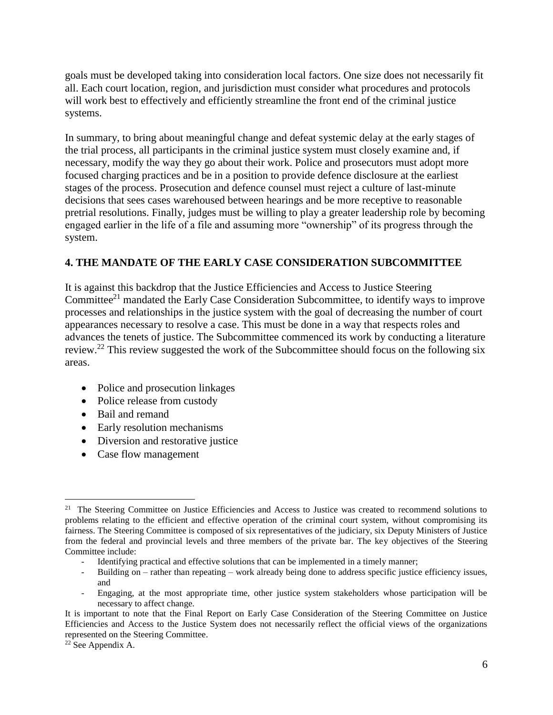goals must be developed taking into consideration local factors. One size does not necessarily fit all. Each court location, region, and jurisdiction must consider what procedures and protocols will work best to effectively and efficiently streamline the front end of the criminal justice systems.

In summary, to bring about meaningful change and defeat systemic delay at the early stages of the trial process, all participants in the criminal justice system must closely examine and, if necessary, modify the way they go about their work. Police and prosecutors must adopt more focused charging practices and be in a position to provide defence disclosure at the earliest stages of the process. Prosecution and defence counsel must reject a culture of last-minute decisions that sees cases warehoused between hearings and be more receptive to reasonable pretrial resolutions. Finally, judges must be willing to play a greater leadership role by becoming engaged earlier in the life of a file and assuming more "ownership" of its progress through the system.

#### <span id="page-6-0"></span>**4. THE MANDATE OF THE EARLY CASE CONSIDERATION SUBCOMMITTEE**

It is against this backdrop that the Justice Efficiencies and Access to Justice Steering Committee<sup>21</sup> mandated the Early Case Consideration Subcommittee, to identify ways to improve processes and relationships in the justice system with the goal of decreasing the number of court appearances necessary to resolve a case. This must be done in a way that respects roles and advances the tenets of justice. The Subcommittee commenced its work by conducting a literature review.<sup>22</sup> This review suggested the work of the Subcommittee should focus on the following six areas.

- Police and prosecution linkages
- Police release from custody
- Bail and remand
- Early resolution mechanisms
- Diversion and restorative justice
- Case flow management

- Building on rather than repeating work already being done to address specific justice efficiency issues, and
- Engaging, at the most appropriate time, other justice system stakeholders whose participation will be necessary to affect change.

 $\overline{a}$ 

<sup>&</sup>lt;sup>21</sup> The Steering Committee on Justice Efficiencies and Access to Justice was created to recommend solutions to problems relating to the efficient and effective operation of the criminal court system, without compromising its fairness. The Steering Committee is composed of six representatives of the judiciary, six Deputy Ministers of Justice from the federal and provincial levels and three members of the private bar. The key objectives of the Steering Committee include:

<sup>-</sup> Identifying practical and effective solutions that can be implemented in a timely manner;

It is important to note that the Final Report on Early Case Consideration of the Steering Committee on Justice Efficiencies and Access to the Justice System does not necessarily reflect the official views of the organizations represented on the Steering Committee.

<sup>22</sup> See Appendix A.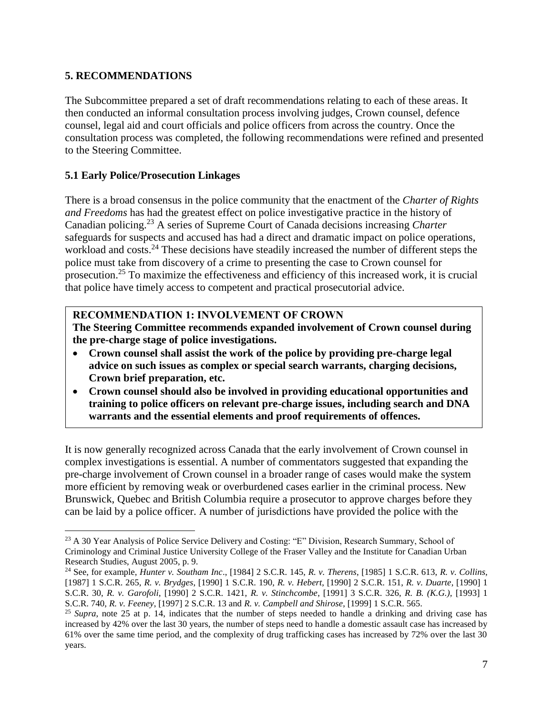## <span id="page-7-0"></span>**5. RECOMMENDATIONS**

The Subcommittee prepared a set of draft recommendations relating to each of these areas. It then conducted an informal consultation process involving judges, Crown counsel, defence counsel, legal aid and court officials and police officers from across the country. Once the consultation process was completed, the following recommendations were refined and presented to the Steering Committee.

#### <span id="page-7-1"></span>**5.1 Early Police/Prosecution Linkages**

There is a broad consensus in the police community that the enactment of the *Charter of Rights and Freedoms* has had the greatest effect on police investigative practice in the history of Canadian policing.<sup>23</sup> A series of Supreme Court of Canada decisions increasing *Charter* safeguards for suspects and accused has had a direct and dramatic impact on police operations, workload and costs.<sup>24</sup> These decisions have steadily increased the number of different steps the police must take from discovery of a crime to presenting the case to Crown counsel for prosecution.<sup>25</sup> To maximize the effectiveness and efficiency of this increased work, it is crucial that police have timely access to competent and practical prosecutorial advice.

#### **RECOMMENDATION 1: INVOLVEMENT OF CROWN**

**The Steering Committee recommends expanded involvement of Crown counsel during the pre-charge stage of police investigations.**

- **Crown counsel shall assist the work of the police by providing pre-charge legal advice on such issues as complex or special search warrants, charging decisions, Crown brief preparation, etc.**
- **Crown counsel should also be involved in providing educational opportunities and training to police officers on relevant pre-charge issues, including search and DNA warrants and the essential elements and proof requirements of offences.**

It is now generally recognized across Canada that the early involvement of Crown counsel in complex investigations is essential. A number of commentators suggested that expanding the pre-charge involvement of Crown counsel in a broader range of cases would make the system more efficient by removing weak or overburdened cases earlier in the criminal process. New Brunswick, Quebec and British Columbia require a prosecutor to approve charges before they can be laid by a police officer. A number of jurisdictions have provided the police with the

 $\overline{a}$ <sup>23</sup> A 30 Year Analysis of Police Service Delivery and Costing: "E" Division, Research Summary, School of Criminology and Criminal Justice University College of the Fraser Valley and the Institute for Canadian Urban Research Studies, August 2005, p. 9.

<sup>24</sup> See, for example, *Hunter v. Southam Inc*., [1984] 2 S.C.R. 145, *R. v. Therens*, [1985] 1 S.C.R. 613, *R. v. Collins*, [1987] 1 S.C.R. 265, *R. v. Brydges*, [1990] 1 S.C.R. 190, *R. v. Hebert*, [1990] 2 S.C.R. 151, *R. v. Duarte*, [1990] 1 S.C.R. 30, *R. v. Garofoli*, [1990] 2 S.C.R. 1421, *R. v. Stinchcombe*, [1991] 3 S.C.R. 326, *R. B. (K.G.),* [1993] 1 S.C.R. 740, *R. v. Feeney*, [1997] 2 S.C.R. 13 and *R. v. Campbell and Shirose*, [1999] 1 S.C.R. 565.

<sup>&</sup>lt;sup>25</sup> *Supra*, note 25 at p. 14, indicates that the number of steps needed to handle a drinking and driving case has increased by 42% over the last 30 years, the number of steps need to handle a domestic assault case has increased by 61% over the same time period, and the complexity of drug trafficking cases has increased by 72% over the last 30 years.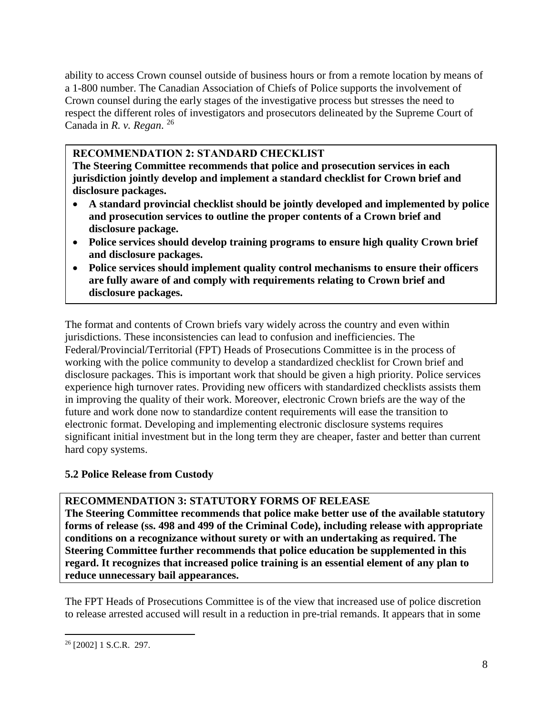ability to access Crown counsel outside of business hours or from a remote location by means of a 1-800 number. The Canadian Association of Chiefs of Police supports the involvement of Crown counsel during the early stages of the investigative process but stresses the need to respect the different roles of investigators and prosecutors delineated by the Supreme Court of Canada in *R. v. Regan*. 26

## **RECOMMENDATION 2: STANDARD CHECKLIST**

**The Steering Committee recommends that police and prosecution services in each jurisdiction jointly develop and implement a standard checklist for Crown brief and disclosure packages.**

- **A standard provincial checklist should be jointly developed and implemented by police and prosecution services to outline the proper contents of a Crown brief and disclosure package.**
- **Police services should develop training programs to ensure high quality Crown brief and disclosure packages.**
- **Police services should implement quality control mechanisms to ensure their officers are fully aware of and comply with requirements relating to Crown brief and disclosure packages.**

The format and contents of Crown briefs vary widely across the country and even within jurisdictions. These inconsistencies can lead to confusion and inefficiencies. The Federal/Provincial/Territorial (FPT) Heads of Prosecutions Committee is in the process of working with the police community to develop a standardized checklist for Crown brief and disclosure packages. This is important work that should be given a high priority. Police services experience high turnover rates. Providing new officers with standardized checklists assists them in improving the quality of their work. Moreover, electronic Crown briefs are the way of the future and work done now to standardize content requirements will ease the transition to electronic format. Developing and implementing electronic disclosure systems requires significant initial investment but in the long term they are cheaper, faster and better than current hard copy systems.

## <span id="page-8-0"></span>**5.2 Police Release from Custody**

## **RECOMMENDATION 3: STATUTORY FORMS OF RELEASE**

**The Steering Committee recommends that police make better use of the available statutory forms of release (ss. 498 and 499 of the Criminal Code), including release with appropriate conditions on a recognizance without surety or with an undertaking as required. The Steering Committee further recommends that police education be supplemented in this regard. It recognizes that increased police training is an essential element of any plan to reduce unnecessary bail appearances.**

The FPT Heads of Prosecutions Committee is of the view that increased use of police discretion to release arrested accused will result in a reduction in pre-trial remands. It appears that in some

 $\overline{a}$  $26$  [2002] 1 S.C.R. 297.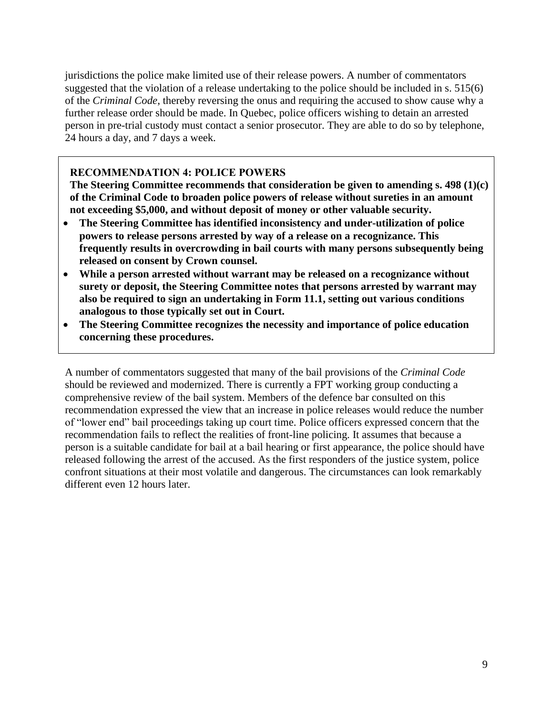jurisdictions the police make limited use of their release powers. A number of commentators suggested that the violation of a release undertaking to the police should be included in s. 515(6) of the *Criminal Code*, thereby reversing the onus and requiring the accused to show cause why a further release order should be made. In Quebec, police officers wishing to detain an arrested person in pre-trial custody must contact a senior prosecutor. They are able to do so by telephone, 24 hours a day, and 7 days a week.

#### **RECOMMENDATION 4: POLICE POWERS**

**The Steering Committee recommends that consideration be given to amending s. 498 (1)(c) of the Criminal Code to broaden police powers of release without sureties in an amount not exceeding \$5,000, and without deposit of money or other valuable security.**

- **The Steering Committee has identified inconsistency and under-utilization of police powers to release persons arrested by way of a release on a recognizance. This frequently results in overcrowding in bail courts with many persons subsequently being released on consent by Crown counsel.**
- **While a person arrested without warrant may be released on a recognizance without surety or deposit, the Steering Committee notes that persons arrested by warrant may also be required to sign an undertaking in Form 11.1, setting out various conditions analogous to those typically set out in Court.**
- **The Steering Committee recognizes the necessity and importance of police education concerning these procedures.**

A number of commentators suggested that many of the bail provisions of the *Criminal Code* should be reviewed and modernized. There is currently a FPT working group conducting a comprehensive review of the bail system. Members of the defence bar consulted on this recommendation expressed the view that an increase in police releases would reduce the number of "lower end" bail proceedings taking up court time. Police officers expressed concern that the recommendation fails to reflect the realities of front-line policing. It assumes that because a person is a suitable candidate for bail at a bail hearing or first appearance, the police should have released following the arrest of the accused. As the first responders of the justice system, police confront situations at their most volatile and dangerous. The circumstances can look remarkably different even 12 hours later.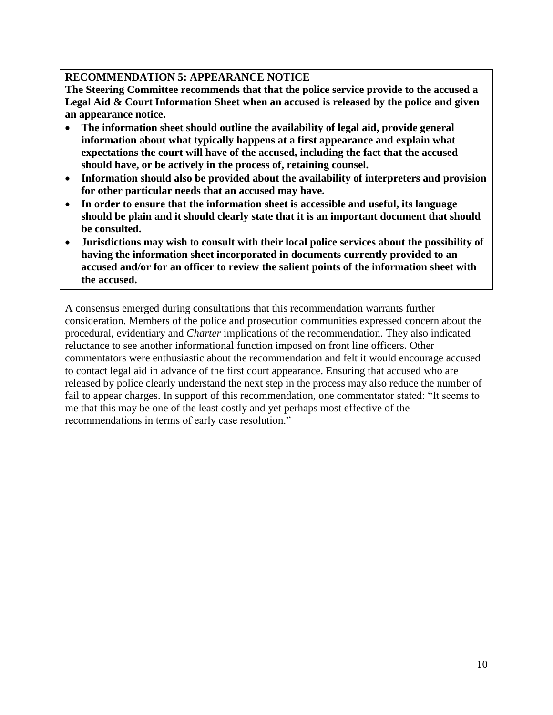## **RECOMMENDATION 5: APPEARANCE NOTICE**

**The Steering Committee recommends that that the police service provide to the accused a Legal Aid & Court Information Sheet when an accused is released by the police and given an appearance notice.**

- **The information sheet should outline the availability of legal aid, provide general information about what typically happens at a first appearance and explain what expectations the court will have of the accused, including the fact that the accused should have, or be actively in the process of, retaining counsel.**
- **Information should also be provided about the availability of interpreters and provision for other particular needs that an accused may have.**
- **In order to ensure that the information sheet is accessible and useful, its language should be plain and it should clearly state that it is an important document that should be consulted.**
- **Jurisdictions may wish to consult with their local police services about the possibility of having the information sheet incorporated in documents currently provided to an accused and/or for an officer to review the salient points of the information sheet with the accused.**

<span id="page-10-0"></span>A consensus emerged during consultations that this recommendation warrants further consideration. Members of the police and prosecution communities expressed concern about the procedural, evidentiary and *Charter* implications of the recommendation. They also indicated reluctance to see another informational function imposed on front line officers. Other commentators were enthusiastic about the recommendation and felt it would encourage accused to contact legal aid in advance of the first court appearance. Ensuring that accused who are released by police clearly understand the next step in the process may also reduce the number of fail to appear charges. In support of this recommendation, one commentator stated: "It seems to me that this may be one of the least costly and yet perhaps most effective of the recommendations in terms of early case resolution."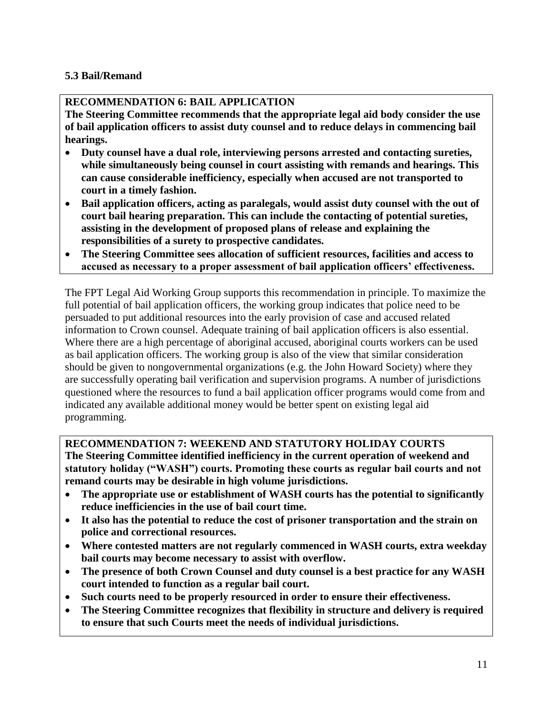## **5.3 Bail/Remand**

## **RECOMMENDATION 6: BAIL APPLICATION**

**The Steering Committee recommends that the appropriate legal aid body consider the use of bail application officers to assist duty counsel and to reduce delays in commencing bail hearings.** 

- **Duty counsel have a dual role, interviewing persons arrested and contacting sureties, while simultaneously being counsel in court assisting with remands and hearings. This can cause considerable inefficiency, especially when accused are not transported to court in a timely fashion.**
- **Bail application officers, acting as paralegals, would assist duty counsel with the out of court bail hearing preparation. This can include the contacting of potential sureties, assisting in the development of proposed plans of release and explaining the responsibilities of a surety to prospective candidates.**
- **The Steering Committee sees allocation of sufficient resources, facilities and access to accused as necessary to a proper assessment of bail application officers' effectiveness.**

The FPT Legal Aid Working Group supports this recommendation in principle. To maximize the full potential of bail application officers, the working group indicates that police need to be persuaded to put additional resources into the early provision of case and accused related information to Crown counsel. Adequate training of bail application officers is also essential. Where there are a high percentage of aboriginal accused, aboriginal courts workers can be used as bail application officers. The working group is also of the view that similar consideration should be given to nongovernmental organizations (e.g. the John Howard Society) where they are successfully operating bail verification and supervision programs. A number of jurisdictions questioned where the resources to fund a bail application officer programs would come from and indicated any available additional money would be better spent on existing legal aid programming.

## **RECOMMENDATION 7: WEEKEND AND STATUTORY HOLIDAY COURTS**

**The Steering Committee identified inefficiency in the current operation of weekend and statutory holiday ("WASH") courts. Promoting these courts as regular bail courts and not remand courts may be desirable in high volume jurisdictions.**

- **The appropriate use or establishment of WASH courts has the potential to significantly reduce inefficiencies in the use of bail court time.**
- **It also has the potential to reduce the cost of prisoner transportation and the strain on police and correctional resources.**
- **Where contested matters are not regularly commenced in WASH courts, extra weekday bail courts may become necessary to assist with overflow.**
- **The presence of both Crown Counsel and duty counsel is a best practice for any WASH court intended to function as a regular bail court.**
- **Such courts need to be properly resourced in order to ensure their effectiveness.**
- **The Steering Committee recognizes that flexibility in structure and delivery is required to ensure that such Courts meet the needs of individual jurisdictions.**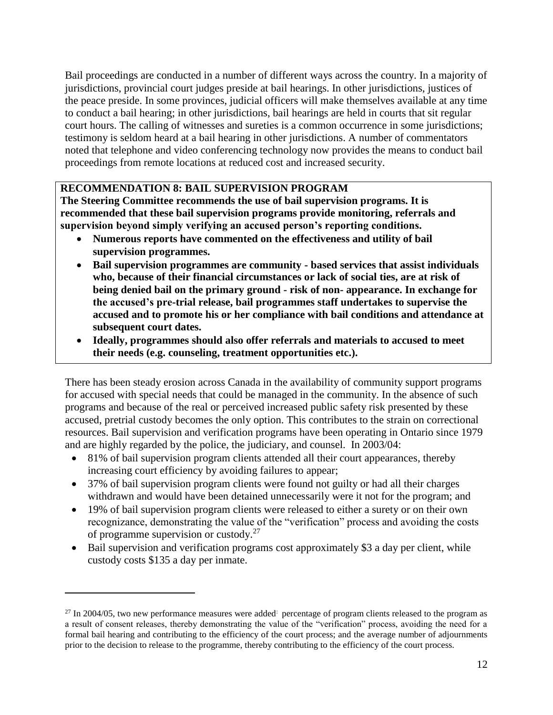Bail proceedings are conducted in a number of different ways across the country. In a majority of jurisdictions, provincial court judges preside at bail hearings. In other jurisdictions, justices of the peace preside. In some provinces, judicial officers will make themselves available at any time to conduct a bail hearing; in other jurisdictions, bail hearings are held in courts that sit regular court hours. The calling of witnesses and sureties is a common occurrence in some jurisdictions; testimony is seldom heard at a bail hearing in other jurisdictions. A number of commentators noted that telephone and video conferencing technology now provides the means to conduct bail proceedings from remote locations at reduced cost and increased security.

## **RECOMMENDATION 8: BAIL SUPERVISION PROGRAM**

**The Steering Committee recommends the use of bail supervision programs. It is recommended that these bail supervision programs provide monitoring, referrals and supervision beyond simply verifying an accused person's reporting conditions.**

- **Numerous reports have commented on the effectiveness and utility of bail supervision programmes.**
- **Bail supervision programmes are community - based services that assist individuals who, because of their financial circumstances or lack of social ties, are at risk of being denied bail on the primary ground - risk of non- appearance. In exchange for the accused's pre-trial release, bail programmes staff undertakes to supervise the accused and to promote his or her compliance with bail conditions and attendance at subsequent court dates.**
- **Ideally, programmes should also offer referrals and materials to accused to meet their needs (e.g. counseling, treatment opportunities etc.).**

There has been steady erosion across Canada in the availability of community support programs for accused with special needs that could be managed in the community. In the absence of such programs and because of the real or perceived increased public safety risk presented by these accused, pretrial custody becomes the only option. This contributes to the strain on correctional resources. Bail supervision and verification programs have been operating in Ontario since 1979 and are highly regarded by the police, the judiciary, and counsel. In 2003/04:

- 81% of bail supervision program clients attended all their court appearances, thereby increasing court efficiency by avoiding failures to appear;
- 37% of bail supervision program clients were found not guilty or had all their charges withdrawn and would have been detained unnecessarily were it not for the program; and
- 19% of bail supervision program clients were released to either a surety or on their own recognizance, demonstrating the value of the "verification" process and avoiding the costs of programme supervision or custody.<sup>27</sup>
- Bail supervision and verification programs cost approximately \$3 a day per client, while custody costs \$135 a day per inmate.

 $\overline{a}$ 

<sup>&</sup>lt;sup>27</sup> In 2004/05, two new performance measures were added<sup>:</sup> percentage of program clients released to the program as a result of consent releases, thereby demonstrating the value of the "verification" process, avoiding the need for a formal bail hearing and contributing to the efficiency of the court process; and the average number of adjournments prior to the decision to release to the programme, thereby contributing to the efficiency of the court process.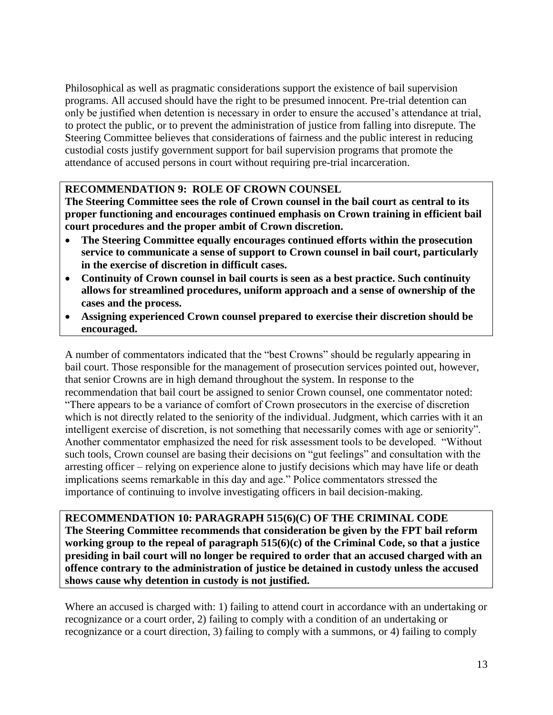Philosophical as well as pragmatic considerations support the existence of bail supervision programs. All accused should have the right to be presumed innocent. Pre-trial detention can only be justified when detention is necessary in order to ensure the accused's attendance at trial, to protect the public, or to prevent the administration of justice from falling into disrepute. The Steering Committee believes that considerations of fairness and the public interest in reducing custodial costs justify government support for bail supervision programs that promote the attendance of accused persons in court without requiring pre-trial incarceration.

#### **RECOMMENDATION 9: ROLE OF CROWN COUNSEL**

**The Steering Committee sees the role of Crown counsel in the bail court as central to its proper functioning and encourages continued emphasis on Crown training in efficient bail court procedures and the proper ambit of Crown discretion.** 

- **The Steering Committee equally encourages continued efforts within the prosecution service to communicate a sense of support to Crown counsel in bail court, particularly in the exercise of discretion in difficult cases.**
- **Continuity of Crown counsel in bail courts is seen as a best practice. Such continuity allows for streamlined procedures, uniform approach and a sense of ownership of the cases and the process.**
- **Assigning experienced Crown counsel prepared to exercise their discretion should be encouraged.**

A number of commentators indicated that the "best Crowns" should be regularly appearing in bail court. Those responsible for the management of prosecution services pointed out, however, that senior Crowns are in high demand throughout the system. In response to the recommendation that bail court be assigned to senior Crown counsel, one commentator noted: "There appears to be a variance of comfort of Crown prosecutors in the exercise of discretion which is not directly related to the seniority of the individual. Judgment, which carries with it an intelligent exercise of discretion, is not something that necessarily comes with age or seniority". Another commentator emphasized the need for risk assessment tools to be developed. "Without such tools, Crown counsel are basing their decisions on "gut feelings" and consultation with the arresting officer – relying on experience alone to justify decisions which may have life or death implications seems remarkable in this day and age." Police commentators stressed the importance of continuing to involve investigating officers in bail decision-making.

**RECOMMENDATION 10: PARAGRAPH 515(6)(C) OF THE CRIMINAL CODE The Steering Committee recommends that consideration be given by the FPT bail reform working group to the repeal of paragraph 515(6)(c) of the Criminal Code, so that a justice presiding in bail court will no longer be required to order that an accused charged with an offence contrary to the administration of justice be detained in custody unless the accused shows cause why detention in custody is not justified.**

Where an accused is charged with: 1) failing to attend court in accordance with an undertaking or recognizance or a court order, 2) failing to comply with a condition of an undertaking or recognizance or a court direction, 3) failing to comply with a summons, or 4) failing to comply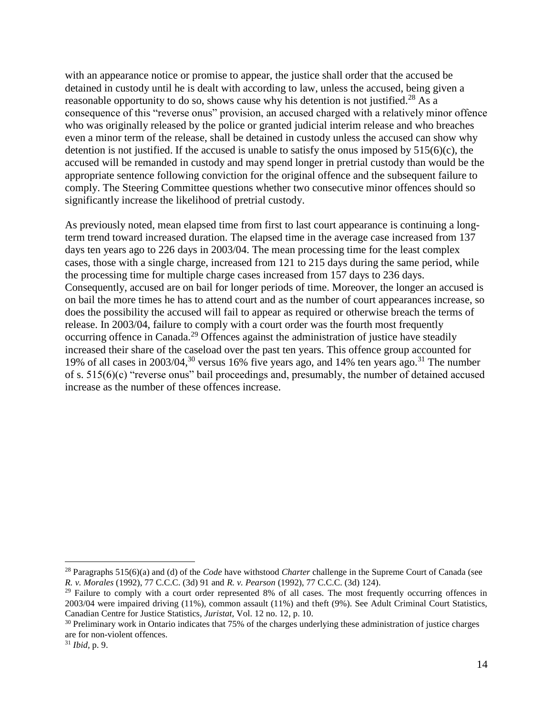with an appearance notice or promise to appear, the justice shall order that the accused be detained in custody until he is dealt with according to law, unless the accused, being given a reasonable opportunity to do so, shows cause why his detention is not justified.<sup>28</sup> As a consequence of this "reverse onus" provision, an accused charged with a relatively minor offence who was originally released by the police or granted judicial interim release and who breaches even a minor term of the release, shall be detained in custody unless the accused can show why detention is not justified. If the accused is unable to satisfy the onus imposed by  $515(6)(c)$ , the accused will be remanded in custody and may spend longer in pretrial custody than would be the appropriate sentence following conviction for the original offence and the subsequent failure to comply. The Steering Committee questions whether two consecutive minor offences should so significantly increase the likelihood of pretrial custody.

As previously noted, mean elapsed time from first to last court appearance is continuing a longterm trend toward increased duration. The elapsed time in the average case increased from 137 days ten years ago to 226 days in 2003/04. The mean processing time for the least complex cases, those with a single charge, increased from 121 to 215 days during the same period, while the processing time for multiple charge cases increased from 157 days to 236 days. Consequently, accused are on bail for longer periods of time. Moreover, the longer an accused is on bail the more times he has to attend court and as the number of court appearances increase, so does the possibility the accused will fail to appear as required or otherwise breach the terms of release. In 2003/04, failure to comply with a court order was the fourth most frequently occurring offence in Canada.<sup>29</sup> Offences against the administration of justice have steadily increased their share of the caseload over the past ten years. This offence group accounted for 19% of all cases in 2003/04,<sup>30</sup> versus 16% five years ago, and 14% ten years ago.<sup>31</sup> The number of s. 515(6)(c) "reverse onus" bail proceedings and, presumably, the number of detained accused increase as the number of these offences increase.

 $\overline{a}$ 

<sup>28</sup> Paragraphs 515(6)(a) and (d) of the *Code* have withstood *Charter* challenge in the Supreme Court of Canada (see *R. v. Morales* (1992), 77 C.C.C. (3d) 91 and *R. v. Pearson* (1992), 77 C.C.C. (3d) 124).

<sup>&</sup>lt;sup>29</sup> Failure to comply with a court order represented 8% of all cases. The most frequently occurring offences in 2003/04 were impaired driving (11%), common assault (11%) and theft (9%). See Adult Criminal Court Statistics, Canadian Centre for Justice Statistics*, Juristat*, Vol. 12 no. 12, p. 10.

<sup>&</sup>lt;sup>30</sup> Preliminary work in Ontario indicates that 75% of the charges underlying these administration of justice charges are for non-violent offences.

<sup>31</sup> *Ibid,* p. 9.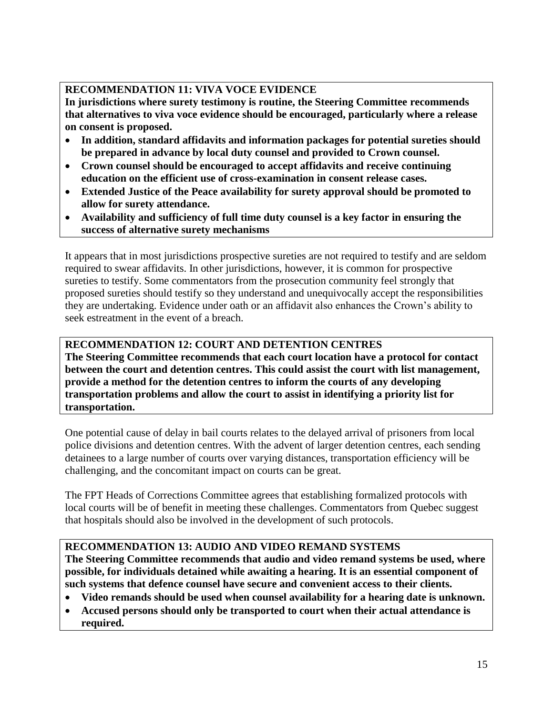## **RECOMMENDATION 11: VIVA VOCE EVIDENCE**

**In jurisdictions where surety testimony is routine, the Steering Committee recommends that alternatives to viva voce evidence should be encouraged, particularly where a release on consent is proposed.** 

- **In addition, standard affidavits and information packages for potential sureties should be prepared in advance by local duty counsel and provided to Crown counsel.**
- **Crown counsel should be encouraged to accept affidavits and receive continuing education on the efficient use of cross-examination in consent release cases.**
- **Extended Justice of the Peace availability for surety approval should be promoted to allow for surety attendance.**
- **Availability and sufficiency of full time duty counsel is a key factor in ensuring the success of alternative surety mechanisms**

It appears that in most jurisdictions prospective sureties are not required to testify and are seldom required to swear affidavits. In other jurisdictions, however, it is common for prospective sureties to testify. Some commentators from the prosecution community feel strongly that proposed sureties should testify so they understand and unequivocally accept the responsibilities they are undertaking. Evidence under oath or an affidavit also enhances the Crown's ability to seek estreatment in the event of a breach.

## **RECOMMENDATION 12: COURT AND DETENTION CENTRES**

**The Steering Committee recommends that each court location have a protocol for contact between the court and detention centres. This could assist the court with list management, provide a method for the detention centres to inform the courts of any developing transportation problems and allow the court to assist in identifying a priority list for transportation.**

One potential cause of delay in bail courts relates to the delayed arrival of prisoners from local police divisions and detention centres. With the advent of larger detention centres, each sending detainees to a large number of courts over varying distances, transportation efficiency will be challenging, and the concomitant impact on courts can be great.

The FPT Heads of Corrections Committee agrees that establishing formalized protocols with local courts will be of benefit in meeting these challenges. Commentators from Quebec suggest that hospitals should also be involved in the development of such protocols.

## **RECOMMENDATION 13: AUDIO AND VIDEO REMAND SYSTEMS**

**The Steering Committee recommends that audio and video remand systems be used, where possible, for individuals detained while awaiting a hearing. It is an essential component of such systems that defence counsel have secure and convenient access to their clients.**

- **Video remands should be used when counsel availability for a hearing date is unknown.**
- **Accused persons should only be transported to court when their actual attendance is required.**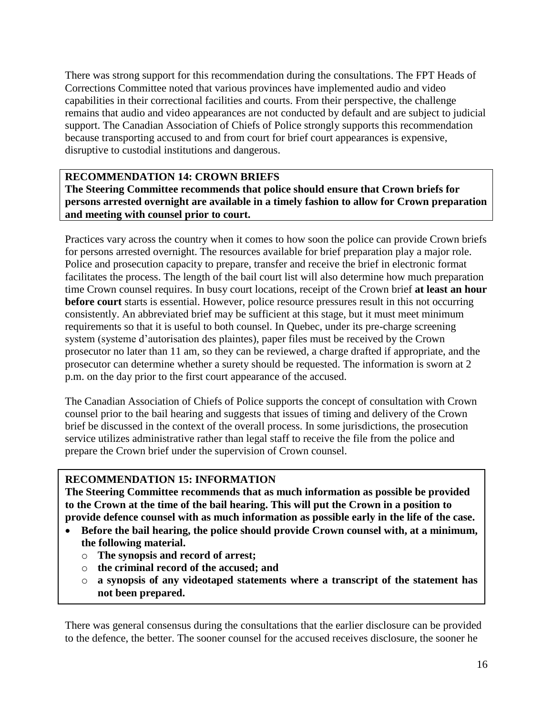There was strong support for this recommendation during the consultations. The FPT Heads of Corrections Committee noted that various provinces have implemented audio and video capabilities in their correctional facilities and courts. From their perspective, the challenge remains that audio and video appearances are not conducted by default and are subject to judicial support. The Canadian Association of Chiefs of Police strongly supports this recommendation because transporting accused to and from court for brief court appearances is expensive, disruptive to custodial institutions and dangerous.

#### **RECOMMENDATION 14: CROWN BRIEFS The Steering Committee recommends that police should ensure that Crown briefs for persons arrested overnight are available in a timely fashion to allow for Crown preparation and meeting with counsel prior to court.**

Practices vary across the country when it comes to how soon the police can provide Crown briefs for persons arrested overnight. The resources available for brief preparation play a major role. Police and prosecution capacity to prepare, transfer and receive the brief in electronic format facilitates the process. The length of the bail court list will also determine how much preparation time Crown counsel requires. In busy court locations, receipt of the Crown brief **at least an hour before court** starts is essential. However, police resource pressures result in this not occurring consistently. An abbreviated brief may be sufficient at this stage, but it must meet minimum requirements so that it is useful to both counsel. In Quebec, under its pre-charge screening system (systeme d'autorisation des plaintes), paper files must be received by the Crown prosecutor no later than 11 am, so they can be reviewed, a charge drafted if appropriate, and the prosecutor can determine whether a surety should be requested. The information is sworn at 2 p.m. on the day prior to the first court appearance of the accused.

The Canadian Association of Chiefs of Police supports the concept of consultation with Crown counsel prior to the bail hearing and suggests that issues of timing and delivery of the Crown brief be discussed in the context of the overall process. In some jurisdictions, the prosecution service utilizes administrative rather than legal staff to receive the file from the police and prepare the Crown brief under the supervision of Crown counsel.

#### **RECOMMENDATION 15: INFORMATION**

**The Steering Committee recommends that as much information as possible be provided to the Crown at the time of the bail hearing. This will put the Crown in a position to provide defence counsel with as much information as possible early in the life of the case.**

- **Before the bail hearing, the police should provide Crown counsel with, at a minimum, the following material.** 
	- o **The synopsis and record of arrest;**
	- o **the criminal record of the accused; and**
	- o **a synopsis of any videotaped statements where a transcript of the statement has not been prepared.**

There was general consensus during the consultations that the earlier disclosure can be provided to the defence, the better. The sooner counsel for the accused receives disclosure, the sooner he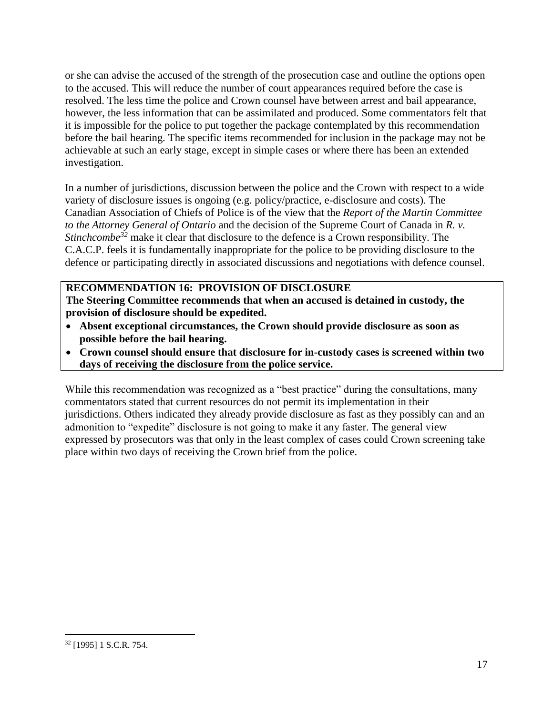or she can advise the accused of the strength of the prosecution case and outline the options open to the accused. This will reduce the number of court appearances required before the case is resolved. The less time the police and Crown counsel have between arrest and bail appearance, however, the less information that can be assimilated and produced. Some commentators felt that it is impossible for the police to put together the package contemplated by this recommendation before the bail hearing. The specific items recommended for inclusion in the package may not be achievable at such an early stage, except in simple cases or where there has been an extended investigation.

In a number of jurisdictions, discussion between the police and the Crown with respect to a wide variety of disclosure issues is ongoing (e.g. policy/practice, e-disclosure and costs). The Canadian Association of Chiefs of Police is of the view that the *Report of the Martin Committee to the Attorney General of Ontario* and the decision of the Supreme Court of Canada in *R. v. Stinchcombe<sup>32</sup>* make it clear that disclosure to the defence is a Crown responsibility. The C.A.C.P. feels it is fundamentally inappropriate for the police to be providing disclosure to the defence or participating directly in associated discussions and negotiations with defence counsel.

#### **RECOMMENDATION 16: PROVISION OF DISCLOSURE The Steering Committee recommends that when an accused is detained in custody, the provision of disclosure should be expedited.**

- **Absent exceptional circumstances, the Crown should provide disclosure as soon as possible before the bail hearing.**
- **Crown counsel should ensure that disclosure for in-custody cases is screened within two days of receiving the disclosure from the police service.**

While this recommendation was recognized as a "best practice" during the consultations, many commentators stated that current resources do not permit its implementation in their jurisdictions. Others indicated they already provide disclosure as fast as they possibly can and an admonition to "expedite" disclosure is not going to make it any faster. The general view expressed by prosecutors was that only in the least complex of cases could Crown screening take place within two days of receiving the Crown brief from the police.

 $\overline{a}$ 

<sup>32</sup> [1995] 1 S.C.R. 754.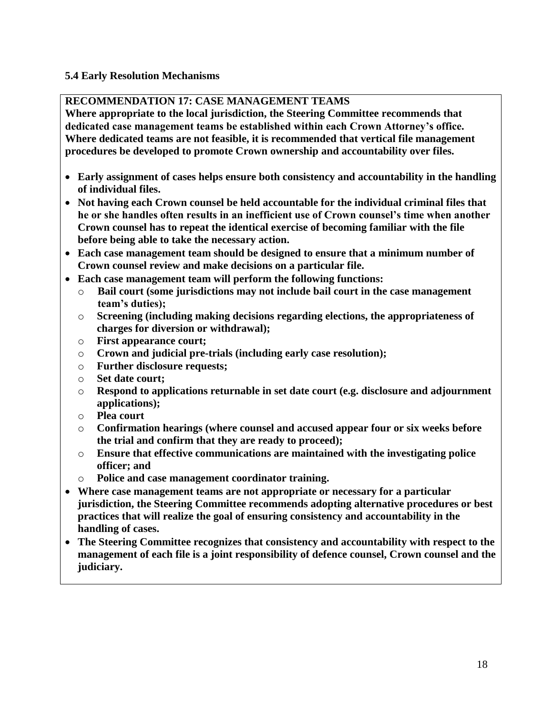#### <span id="page-18-0"></span>**5.4 Early Resolution Mechanisms**

## **RECOMMENDATION 17: CASE MANAGEMENT TEAMS**

**Where appropriate to the local jurisdiction, the Steering Committee recommends that dedicated case management teams be established within each Crown Attorney's office. Where dedicated teams are not feasible, it is recommended that vertical file management procedures be developed to promote Crown ownership and accountability over files.**

- **Early assignment of cases helps ensure both consistency and accountability in the handling of individual files.**
- **Not having each Crown counsel be held accountable for the individual criminal files that he or she handles often results in an inefficient use of Crown counsel's time when another Crown counsel has to repeat the identical exercise of becoming familiar with the file before being able to take the necessary action.**
- **Each case management team should be designed to ensure that a minimum number of Crown counsel review and make decisions on a particular file.**
- **Each case management team will perform the following functions:**
	- o **Bail court (some jurisdictions may not include bail court in the case management team's duties);**
	- o **Screening (including making decisions regarding elections, the appropriateness of charges for diversion or withdrawal);**
	- o **First appearance court;**
	- o **Crown and judicial pre-trials (including early case resolution);**
	- o **Further disclosure requests;**
	- o **Set date court;**
	- o **Respond to applications returnable in set date court (e.g. disclosure and adjournment applications);**
	- o **Plea court**
	- o **Confirmation hearings (where counsel and accused appear four or six weeks before the trial and confirm that they are ready to proceed);**
	- o **Ensure that effective communications are maintained with the investigating police officer; and**
	- o **Police and case management coordinator training.**
- **Where case management teams are not appropriate or necessary for a particular jurisdiction, the Steering Committee recommends adopting alternative procedures or best practices that will realize the goal of ensuring consistency and accountability in the handling of cases.**
- **The Steering Committee recognizes that consistency and accountability with respect to the management of each file is a joint responsibility of defence counsel, Crown counsel and the judiciary.**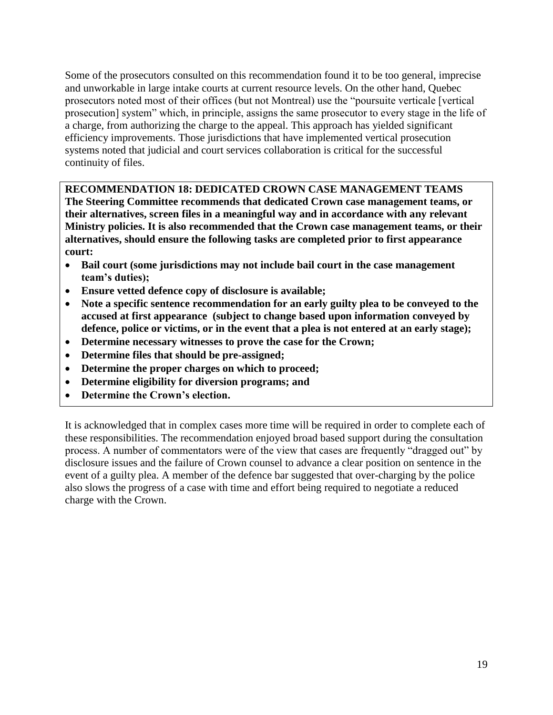Some of the prosecutors consulted on this recommendation found it to be too general, imprecise and unworkable in large intake courts at current resource levels. On the other hand, Quebec prosecutors noted most of their offices (but not Montreal) use the "poursuite verticale [vertical prosecution] system" which, in principle, assigns the same prosecutor to every stage in the life of a charge, from authorizing the charge to the appeal. This approach has yielded significant efficiency improvements. Those jurisdictions that have implemented vertical prosecution systems noted that judicial and court services collaboration is critical for the successful continuity of files.

#### **RECOMMENDATION 18: DEDICATED CROWN CASE MANAGEMENT TEAMS**

**The Steering Committee recommends that dedicated Crown case management teams, or their alternatives, screen files in a meaningful way and in accordance with any relevant Ministry policies. It is also recommended that the Crown case management teams, or their alternatives, should ensure the following tasks are completed prior to first appearance court:**

- **Bail court (some jurisdictions may not include bail court in the case management team's duties);**
- **Ensure vetted defence copy of disclosure is available;**
- **Note a specific sentence recommendation for an early guilty plea to be conveyed to the accused at first appearance (subject to change based upon information conveyed by defence, police or victims, or in the event that a plea is not entered at an early stage);**
- **Determine necessary witnesses to prove the case for the Crown;**
- **Determine files that should be pre-assigned;**
- **Determine the proper charges on which to proceed;**
- **Determine eligibility for diversion programs; and**
- **Determine the Crown's election.**

It is acknowledged that in complex cases more time will be required in order to complete each of these responsibilities. The recommendation enjoyed broad based support during the consultation process. A number of commentators were of the view that cases are frequently "dragged out" by disclosure issues and the failure of Crown counsel to advance a clear position on sentence in the event of a guilty plea. A member of the defence bar suggested that over-charging by the police also slows the progress of a case with time and effort being required to negotiate a reduced charge with the Crown.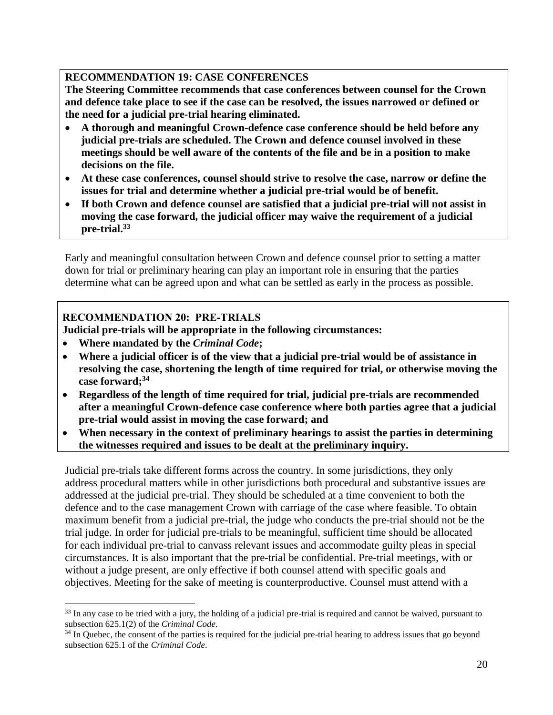## **RECOMMENDATION 19: CASE CONFERENCES**

**The Steering Committee recommends that case conferences between counsel for the Crown and defence take place to see if the case can be resolved, the issues narrowed or defined or the need for a judicial pre-trial hearing eliminated.**

- **A thorough and meaningful Crown-defence case conference should be held before any judicial pre-trials are scheduled. The Crown and defence counsel involved in these meetings should be well aware of the contents of the file and be in a position to make decisions on the file.**
- **At these case conferences, counsel should strive to resolve the case, narrow or define the issues for trial and determine whether a judicial pre-trial would be of benefit.**
- **If both Crown and defence counsel are satisfied that a judicial pre-trial will not assist in moving the case forward, the judicial officer may waive the requirement of a judicial pre-trial. 33**

Early and meaningful consultation between Crown and defence counsel prior to setting a matter down for trial or preliminary hearing can play an important role in ensuring that the parties determine what can be agreed upon and what can be settled as early in the process as possible.

## **RECOMMENDATION 20: PRE-TRIALS**

**Judicial pre-trials will be appropriate in the following circumstances:**

**Where mandated by the** *Criminal Code***;**

 $\overline{a}$ 

- **Where a judicial officer is of the view that a judicial pre-trial would be of assistance in resolving the case, shortening the length of time required for trial, or otherwise moving the case forward;<sup>34</sup>**
- **Regardless of the length of time required for trial, judicial pre-trials are recommended after a meaningful Crown-defence case conference where both parties agree that a judicial pre-trial would assist in moving the case forward; and**
- **When necessary in the context of preliminary hearings to assist the parties in determining the witnesses required and issues to be dealt at the preliminary inquiry.**

Judicial pre-trials take different forms across the country. In some jurisdictions, they only address procedural matters while in other jurisdictions both procedural and substantive issues are addressed at the judicial pre-trial. They should be scheduled at a time convenient to both the defence and to the case management Crown with carriage of the case where feasible. To obtain maximum benefit from a judicial pre-trial, the judge who conducts the pre-trial should not be the trial judge. In order for judicial pre-trials to be meaningful, sufficient time should be allocated for each individual pre-trial to canvass relevant issues and accommodate guilty pleas in special circumstances. It is also important that the pre-trial be confidential. Pre-trial meetings, with or without a judge present, are only effective if both counsel attend with specific goals and objectives. Meeting for the sake of meeting is counterproductive. Counsel must attend with a

<sup>&</sup>lt;sup>33</sup> In any case to be tried with a jury, the holding of a judicial pre-trial is required and cannot be waived, pursuant to subsection 625.1(2) of the *Criminal Code*.

<sup>&</sup>lt;sup>34</sup> In Quebec, the consent of the parties is required for the judicial pre-trial hearing to address issues that go beyond subsection 625.1 of the *Criminal Code*.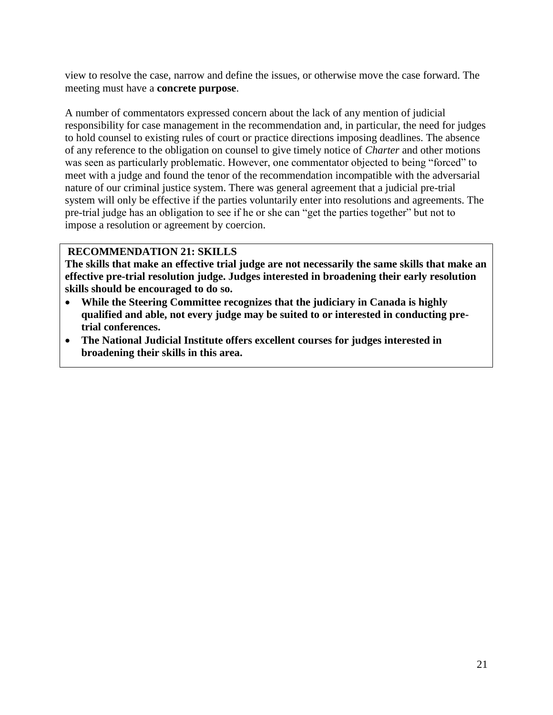view to resolve the case, narrow and define the issues, or otherwise move the case forward. The meeting must have a **concrete purpose**.

A number of commentators expressed concern about the lack of any mention of judicial responsibility for case management in the recommendation and, in particular, the need for judges to hold counsel to existing rules of court or practice directions imposing deadlines. The absence of any reference to the obligation on counsel to give timely notice of *Charter* and other motions was seen as particularly problematic. However, one commentator objected to being "forced" to meet with a judge and found the tenor of the recommendation incompatible with the adversarial nature of our criminal justice system. There was general agreement that a judicial pre-trial system will only be effective if the parties voluntarily enter into resolutions and agreements. The pre-trial judge has an obligation to see if he or she can "get the parties together" but not to impose a resolution or agreement by coercion.

#### **RECOMMENDATION 21: SKILLS**

**The skills that make an effective trial judge are not necessarily the same skills that make an effective pre-trial resolution judge. Judges interested in broadening their early resolution skills should be encouraged to do so.** 

- **While the Steering Committee recognizes that the judiciary in Canada is highly qualified and able, not every judge may be suited to or interested in conducting pretrial conferences.**
- <span id="page-21-0"></span> **The National Judicial Institute offers excellent courses for judges interested in broadening their skills in this area.**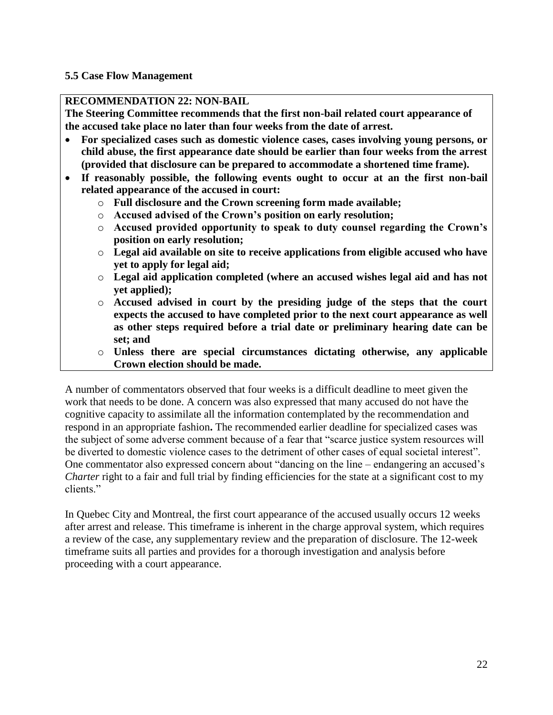#### **5.5 Case Flow Management**

#### **RECOMMENDATION 22: NON-BAIL**

**The Steering Committee recommends that the first non-bail related court appearance of the accused take place no later than four weeks from the date of arrest.**

- **For specialized cases such as domestic violence cases, cases involving young persons, or child abuse, the first appearance date should be earlier than four weeks from the arrest (provided that disclosure can be prepared to accommodate a shortened time frame).**
- **If reasonably possible, the following events ought to occur at an the first non-bail related appearance of the accused in court:**
	- o **Full disclosure and the Crown screening form made available;**
	- o **Accused advised of the Crown's position on early resolution;**
	- o **Accused provided opportunity to speak to duty counsel regarding the Crown's position on early resolution;**
	- o **Legal aid available on site to receive applications from eligible accused who have yet to apply for legal aid;**
	- o **Legal aid application completed (where an accused wishes legal aid and has not yet applied);**
	- o **Accused advised in court by the presiding judge of the steps that the court expects the accused to have completed prior to the next court appearance as well as other steps required before a trial date or preliminary hearing date can be set; and**
	- o **Unless there are special circumstances dictating otherwise, any applicable Crown election should be made.**

A number of commentators observed that four weeks is a difficult deadline to meet given the work that needs to be done. A concern was also expressed that many accused do not have the cognitive capacity to assimilate all the information contemplated by the recommendation and respond in an appropriate fashion**.** The recommended earlier deadline for specialized cases was the subject of some adverse comment because of a fear that "scarce justice system resources will be diverted to domestic violence cases to the detriment of other cases of equal societal interest". One commentator also expressed concern about "dancing on the line – endangering an accused's *Charter* right to a fair and full trial by finding efficiencies for the state at a significant cost to my clients"

In Quebec City and Montreal, the first court appearance of the accused usually occurs 12 weeks after arrest and release. This timeframe is inherent in the charge approval system, which requires a review of the case, any supplementary review and the preparation of disclosure. The 12-week timeframe suits all parties and provides for a thorough investigation and analysis before proceeding with a court appearance.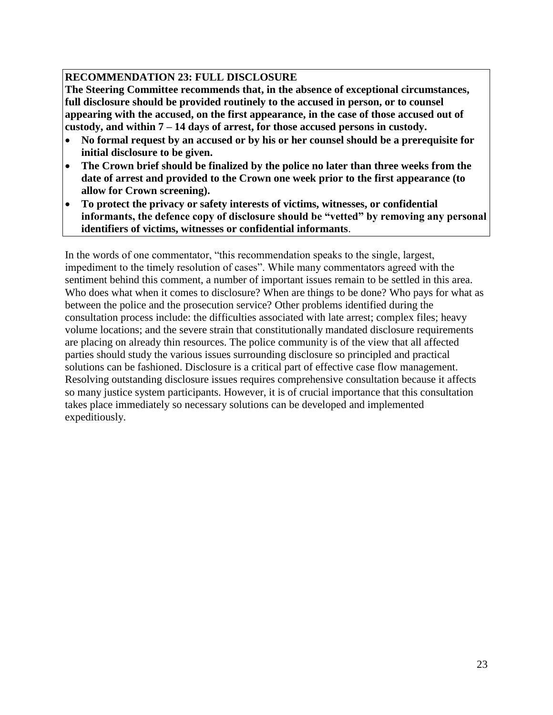## **RECOMMENDATION 23: FULL DISCLOSURE**

**The Steering Committee recommends that, in the absence of exceptional circumstances, full disclosure should be provided routinely to the accused in person, or to counsel appearing with the accused, on the first appearance, in the case of those accused out of custody, and within 7 – 14 days of arrest, for those accused persons in custody.**

- **No formal request by an accused or by his or her counsel should be a prerequisite for initial disclosure to be given.**
- **The Crown brief should be finalized by the police no later than three weeks from the date of arrest and provided to the Crown one week prior to the first appearance (to allow for Crown screening).**
- **To protect the privacy or safety interests of victims, witnesses, or confidential informants, the defence copy of disclosure should be "vetted" by removing any personal identifiers of victims, witnesses or confidential informants**.

In the words of one commentator, "this recommendation speaks to the single, largest, impediment to the timely resolution of cases". While many commentators agreed with the sentiment behind this comment, a number of important issues remain to be settled in this area. Who does what when it comes to disclosure? When are things to be done? Who pays for what as between the police and the prosecution service? Other problems identified during the consultation process include: the difficulties associated with late arrest; complex files; heavy volume locations; and the severe strain that constitutionally mandated disclosure requirements are placing on already thin resources. The police community is of the view that all affected parties should study the various issues surrounding disclosure so principled and practical solutions can be fashioned. Disclosure is a critical part of effective case flow management. Resolving outstanding disclosure issues requires comprehensive consultation because it affects so many justice system participants. However, it is of crucial importance that this consultation takes place immediately so necessary solutions can be developed and implemented expeditiously.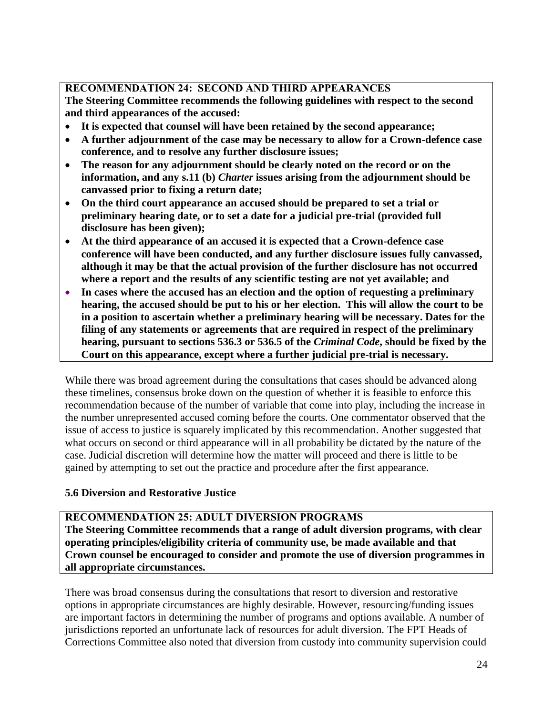## **RECOMMENDATION 24: SECOND AND THIRD APPEARANCES**

**The Steering Committee recommends the following guidelines with respect to the second and third appearances of the accused:**

- **It is expected that counsel will have been retained by the second appearance;**
- **A further adjournment of the case may be necessary to allow for a Crown-defence case conference, and to resolve any further disclosure issues;**
- **The reason for any adjournment should be clearly noted on the record or on the information, and any s.11 (b)** *Charter* **issues arising from the adjournment should be canvassed prior to fixing a return date;**
- **On the third court appearance an accused should be prepared to set a trial or preliminary hearing date, or to set a date for a judicial pre-trial (provided full disclosure has been given);**
- **At the third appearance of an accused it is expected that a Crown-defence case conference will have been conducted, and any further disclosure issues fully canvassed, although it may be that the actual provision of the further disclosure has not occurred where a report and the results of any scientific testing are not yet available; and**
- **In cases where the accused has an election and the option of requesting a preliminary hearing, the accused should be put to his or her election. This will allow the court to be in a position to ascertain whether a preliminary hearing will be necessary. Dates for the filing of any statements or agreements that are required in respect of the preliminary hearing, pursuant to sections 536.3 or 536.5 of the** *Criminal Code***, should be fixed by the Court on this appearance, except where a further judicial pre-trial is necessary.**

While there was broad agreement during the consultations that cases should be advanced along these timelines, consensus broke down on the question of whether it is feasible to enforce this recommendation because of the number of variable that come into play, including the increase in the number unrepresented accused coming before the courts. One commentator observed that the issue of access to justice is squarely implicated by this recommendation. Another suggested that what occurs on second or third appearance will in all probability be dictated by the nature of the case. Judicial discretion will determine how the matter will proceed and there is little to be gained by attempting to set out the practice and procedure after the first appearance.

## <span id="page-24-0"></span>**5.6 Diversion and Restorative Justice**

## **RECOMMENDATION 25: ADULT DIVERSION PROGRAMS**

**The Steering Committee recommends that a range of adult diversion programs, with clear operating principles/eligibility criteria of community use, be made available and that Crown counsel be encouraged to consider and promote the use of diversion programmes in all appropriate circumstances.**

There was broad consensus during the consultations that resort to diversion and restorative options in appropriate circumstances are highly desirable. However, resourcing/funding issues are important factors in determining the number of programs and options available. A number of jurisdictions reported an unfortunate lack of resources for adult diversion. The FPT Heads of Corrections Committee also noted that diversion from custody into community supervision could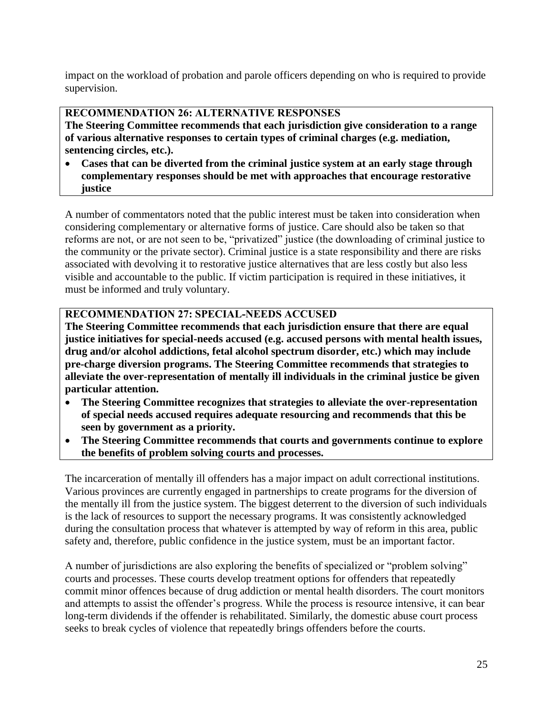impact on the workload of probation and parole officers depending on who is required to provide supervision.

### **RECOMMENDATION 26: ALTERNATIVE RESPONSES**

**The Steering Committee recommends that each jurisdiction give consideration to a range of various alternative responses to certain types of criminal charges (e.g. mediation, sentencing circles, etc.).**

 **Cases that can be diverted from the criminal justice system at an early stage through complementary responses should be met with approaches that encourage restorative justice**

A number of commentators noted that the public interest must be taken into consideration when considering complementary or alternative forms of justice. Care should also be taken so that reforms are not, or are not seen to be, "privatized" justice (the downloading of criminal justice to the community or the private sector). Criminal justice is a state responsibility and there are risks associated with devolving it to restorative justice alternatives that are less costly but also less visible and accountable to the public. If victim participation is required in these initiatives, it must be informed and truly voluntary.

## **RECOMMENDATION 27: SPECIAL-NEEDS ACCUSED**

**The Steering Committee recommends that each jurisdiction ensure that there are equal justice initiatives for special-needs accused (e.g. accused persons with mental health issues, drug and/or alcohol addictions, fetal alcohol spectrum disorder, etc.) which may include pre-charge diversion programs. The Steering Committee recommends that strategies to alleviate the over-representation of mentally ill individuals in the criminal justice be given particular attention.**

- **The Steering Committee recognizes that strategies to alleviate the over-representation of special needs accused requires adequate resourcing and recommends that this be seen by government as a priority.**
- **The Steering Committee recommends that courts and governments continue to explore the benefits of problem solving courts and processes.**

The incarceration of mentally ill offenders has a major impact on adult correctional institutions. Various provinces are currently engaged in partnerships to create programs for the diversion of the mentally ill from the justice system. The biggest deterrent to the diversion of such individuals is the lack of resources to support the necessary programs. It was consistently acknowledged during the consultation process that whatever is attempted by way of reform in this area, public safety and, therefore, public confidence in the justice system, must be an important factor.

A number of jurisdictions are also exploring the benefits of specialized or "problem solving" courts and processes. These courts develop treatment options for offenders that repeatedly commit minor offences because of drug addiction or mental health disorders. The court monitors and attempts to assist the offender's progress. While the process is resource intensive, it can bear long-term dividends if the offender is rehabilitated. Similarly, the domestic abuse court process seeks to break cycles of violence that repeatedly brings offenders before the courts.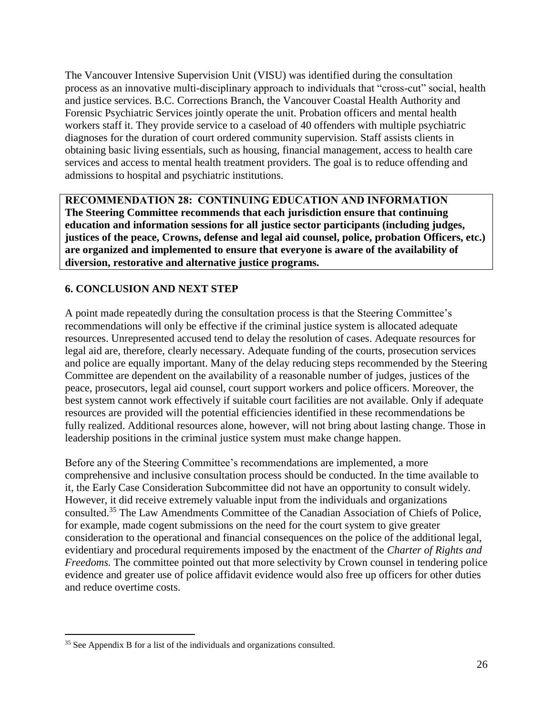The Vancouver Intensive Supervision Unit (VISU) was identified during the consultation process as an innovative multi-disciplinary approach to individuals that "cross-cut" social, health and justice services. B.C. Corrections Branch, the Vancouver Coastal Health Authority and Forensic Psychiatric Services jointly operate the unit. Probation officers and mental health workers staff it. They provide service to a caseload of 40 offenders with multiple psychiatric diagnoses for the duration of court ordered community supervision. Staff assists clients in obtaining basic living essentials, such as housing, financial management, access to health care services and access to mental health treatment providers. The goal is to reduce offending and admissions to hospital and psychiatric institutions.

**RECOMMENDATION 28: CONTINUING EDUCATION AND INFORMATION The Steering Committee recommends that each jurisdiction ensure that continuing education and information sessions for all justice sector participants (including judges, justices of the peace, Crowns, defense and legal aid counsel, police, probation Officers, etc.) are organized and implemented to ensure that everyone is aware of the availability of diversion, restorative and alternative justice programs.**

## <span id="page-26-0"></span>**6. CONCLUSION AND NEXT STEP**

A point made repeatedly during the consultation process is that the Steering Committee's recommendations will only be effective if the criminal justice system is allocated adequate resources. Unrepresented accused tend to delay the resolution of cases. Adequate resources for legal aid are, therefore, clearly necessary. Adequate funding of the courts, prosecution services and police are equally important. Many of the delay reducing steps recommended by the Steering Committee are dependent on the availability of a reasonable number of judges, justices of the peace, prosecutors, legal aid counsel, court support workers and police officers. Moreover, the best system cannot work effectively if suitable court facilities are not available. Only if adequate resources are provided will the potential efficiencies identified in these recommendations be fully realized. Additional resources alone, however, will not bring about lasting change. Those in leadership positions in the criminal justice system must make change happen.

Before any of the Steering Committee's recommendations are implemented, a more comprehensive and inclusive consultation process should be conducted. In the time available to it, the Early Case Consideration Subcommittee did not have an opportunity to consult widely. However, it did receive extremely valuable input from the individuals and organizations consulted.<sup>35</sup> The Law Amendments Committee of the Canadian Association of Chiefs of Police, for example, made cogent submissions on the need for the court system to give greater consideration to the operational and financial consequences on the police of the additional legal, evidentiary and procedural requirements imposed by the enactment of the *Charter of Rights and Freedoms.* The committee pointed out that more selectivity by Crown counsel in tendering police evidence and greater use of police affidavit evidence would also free up officers for other duties and reduce overtime costs.

 $\overline{a}$ 

<sup>&</sup>lt;sup>35</sup> See Appendix B for a list of the individuals and organizations consulted.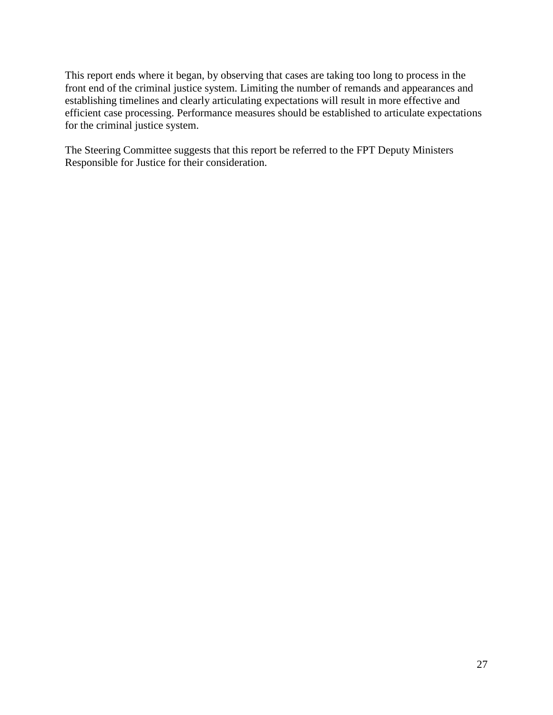This report ends where it began, by observing that cases are taking too long to process in the front end of the criminal justice system. Limiting the number of remands and appearances and establishing timelines and clearly articulating expectations will result in more effective and efficient case processing. Performance measures should be established to articulate expectations for the criminal justice system.

<span id="page-27-0"></span>The Steering Committee suggests that this report be referred to the FPT Deputy Ministers Responsible for Justice for their consideration.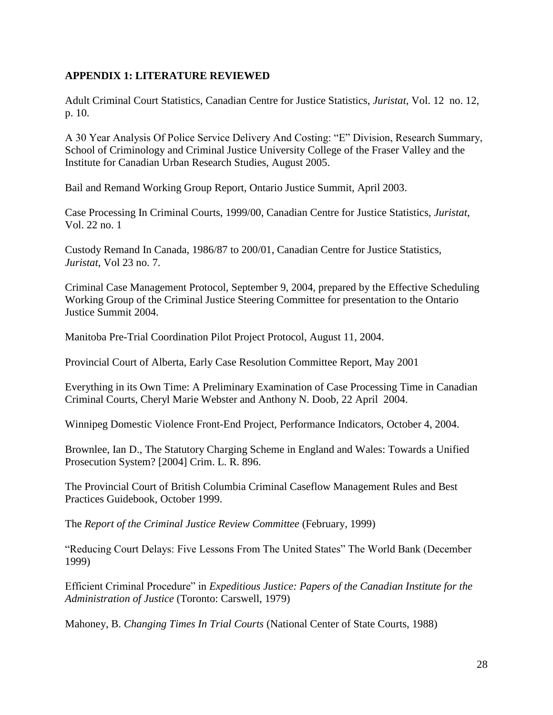#### **APPENDIX 1: LITERATURE REVIEWED**

Adult Criminal Court Statistics, Canadian Centre for Justice Statistics, *Juristat*, Vol. 12 no. 12, p. 10.

A 30 Year Analysis Of Police Service Delivery And Costing: "E" Division, Research Summary, School of Criminology and Criminal Justice University College of the Fraser Valley and the Institute for Canadian Urban Research Studies, August 2005.

Bail and Remand Working Group Report, Ontario Justice Summit, April 2003.

Case Processing In Criminal Courts, 1999/00, Canadian Centre for Justice Statistics, *Juristat*, Vol. 22 no. 1

Custody Remand In Canada, 1986/87 to 200/01, Canadian Centre for Justice Statistics, *Juristat*, Vol 23 no. 7.

Criminal Case Management Protocol, September 9, 2004, prepared by the Effective Scheduling Working Group of the Criminal Justice Steering Committee for presentation to the Ontario Justice Summit 2004.

Manitoba Pre-Trial Coordination Pilot Project Protocol, August 11, 2004.

Provincial Court of Alberta, Early Case Resolution Committee Report, May 2001

Everything in its Own Time: A Preliminary Examination of Case Processing Time in Canadian Criminal Courts, Cheryl Marie Webster and Anthony N. Doob, 22 April 2004.

Winnipeg Domestic Violence Front-End Project, Performance Indicators, October 4, 2004.

Brownlee, Ian D., The Statutory Charging Scheme in England and Wales: Towards a Unified Prosecution System? [2004] Crim. L. R. 896.

The Provincial Court of British Columbia Criminal Caseflow Management Rules and Best Practices Guidebook, October 1999.

The *Report of the Criminal Justice Review Committee* (February, 1999)

"Reducing Court Delays: Five Lessons From The United States" The World Bank (December 1999)

Efficient Criminal Procedure" in *Expeditious Justice: Papers of the Canadian Institute for the Administration of Justice* (Toronto: Carswell, 1979)

Mahoney, B. *Changing Times In Trial Courts* (National Center of State Courts, 1988)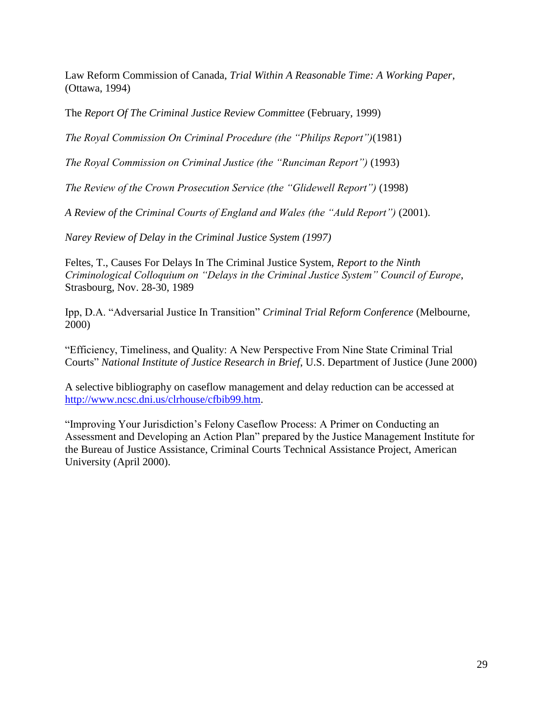Law Reform Commission of Canada, *Trial Within A Reasonable Time: A Working Paper*, (Ottawa, 1994)

The *Report Of The Criminal Justice Review Committee* (February, 1999)

*The Royal Commission On Criminal Procedure (the "Philips Report")*(1981)

*The Royal Commission on Criminal Justice (the "Runciman Report")* (1993)

*The Review of the Crown Prosecution Service (the "Glidewell Report")* (1998)

*A Review of the Criminal Courts of England and Wales (the "Auld Report")* (2001).

*Narey Review of Delay in the Criminal Justice System (1997)*

Feltes, T., Causes For Delays In The Criminal Justice System, *Report to the Ninth Criminological Colloquium on "Delays in the Criminal Justice System" Council of Europe*, Strasbourg, Nov. 28-30, 1989

Ipp, D.A. "Adversarial Justice In Transition" *Criminal Trial Reform Conference* (Melbourne, 2000)

"Efficiency, Timeliness, and Quality: A New Perspective From Nine State Criminal Trial Courts" *National Institute of Justice Research in Brief*, U.S. Department of Justice (June 2000)

A selective bibliography on caseflow management and delay reduction can be accessed at [http://www.ncsc.dni.us/clrhouse/cfbib99.htm.](http://www.ncsc.dni.us/clrhouse/cfbib99.htm)

"Improving Your Jurisdiction's Felony Caseflow Process: A Primer on Conducting an Assessment and Developing an Action Plan" prepared by the Justice Management Institute for the Bureau of Justice Assistance, Criminal Courts Technical Assistance Project, American University (April 2000).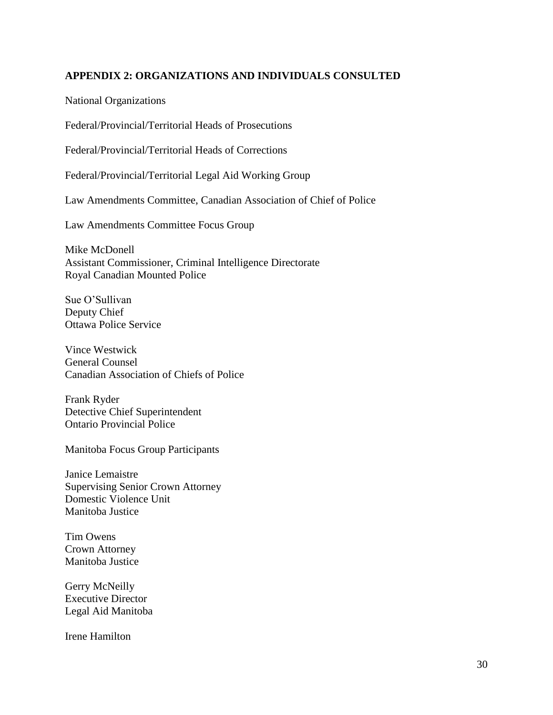#### <span id="page-30-0"></span>**APPENDIX 2: ORGANIZATIONS AND INDIVIDUALS CONSULTED**

National Organizations

Federal/Provincial/Territorial Heads of Prosecutions

Federal/Provincial/Territorial Heads of Corrections

Federal/Provincial/Territorial Legal Aid Working Group

Law Amendments Committee, Canadian Association of Chief of Police

Law Amendments Committee Focus Group

Mike McDonell Assistant Commissioner, Criminal Intelligence Directorate Royal Canadian Mounted Police

Sue O'Sullivan Deputy Chief Ottawa Police Service

Vince Westwick General Counsel Canadian Association of Chiefs of Police

Frank Ryder Detective Chief Superintendent Ontario Provincial Police

Manitoba Focus Group Participants

Janice Lemaistre Supervising Senior Crown Attorney Domestic Violence Unit Manitoba Justice

Tim Owens Crown Attorney Manitoba Justice

Gerry McNeilly Executive Director Legal Aid Manitoba

Irene Hamilton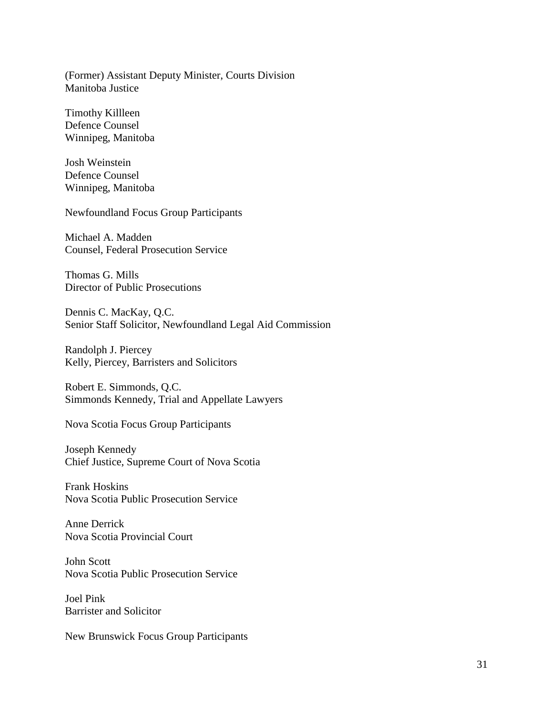(Former) Assistant Deputy Minister, Courts Division Manitoba Justice

Timothy Killleen Defence Counsel Winnipeg, Manitoba

Josh Weinstein Defence Counsel Winnipeg, Manitoba

Newfoundland Focus Group Participants

Michael A. Madden Counsel, Federal Prosecution Service

Thomas G. Mills Director of Public Prosecutions

Dennis C. MacKay, Q.C. Senior Staff Solicitor, Newfoundland Legal Aid Commission

Randolph J. Piercey Kelly, Piercey, Barristers and Solicitors

Robert E. Simmonds, Q.C. Simmonds Kennedy, Trial and Appellate Lawyers

Nova Scotia Focus Group Participants

Joseph Kennedy Chief Justice, Supreme Court of Nova Scotia

Frank Hoskins Nova Scotia Public Prosecution Service

Anne Derrick Nova Scotia Provincial Court

John Scott Nova Scotia Public Prosecution Service

Joel Pink Barrister and Solicitor

New Brunswick Focus Group Participants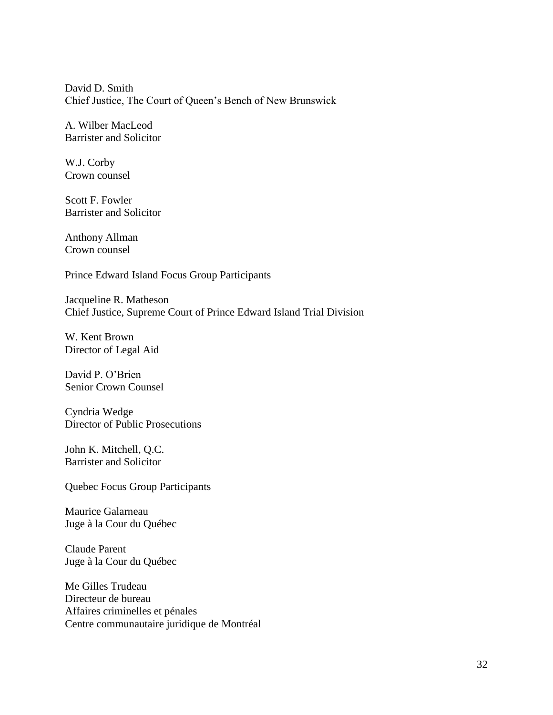David D. Smith Chief Justice, The Court of Queen's Bench of New Brunswick

A. Wilber MacLeod Barrister and Solicitor

W.J. Corby Crown counsel

Scott F. Fowler Barrister and Solicitor

Anthony Allman Crown counsel

Prince Edward Island Focus Group Participants

Jacqueline R. Matheson Chief Justice, Supreme Court of Prince Edward Island Trial Division

W. Kent Brown Director of Legal Aid

David P. O'Brien Senior Crown Counsel

Cyndria Wedge Director of Public Prosecutions

John K. Mitchell, Q.C. Barrister and Solicitor

Quebec Focus Group Participants

Maurice Galarneau Juge à la Cour du Québec

Claude Parent Juge à la Cour du Québec

Me Gilles Trudeau Directeur de bureau Affaires criminelles et pénales Centre communautaire juridique de Montréal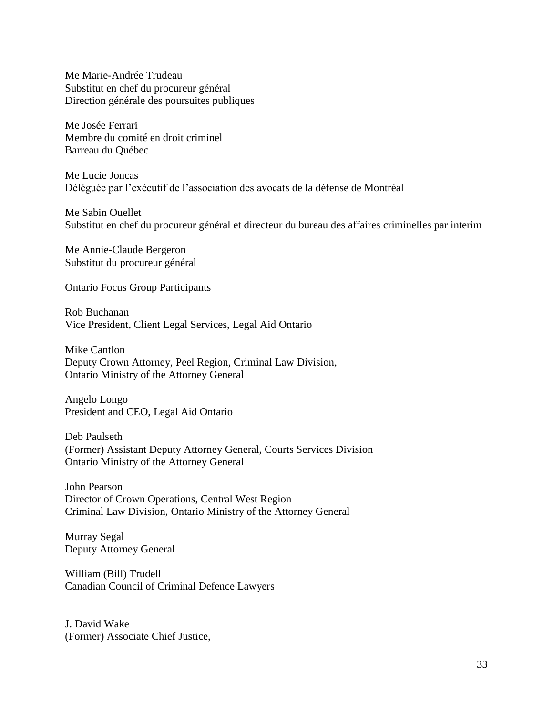Me Marie-Andrée Trudeau Substitut en chef du procureur général Direction générale des poursuites publiques

Me Josée Ferrari Membre du comité en droit criminel Barreau du Québec

Me Lucie Joncas Déléguée par l'exécutif de l'association des avocats de la défense de Montréal

Me Sabin Ouellet Substitut en chef du procureur général et directeur du bureau des affaires criminelles par interim

Me Annie-Claude Bergeron Substitut du procureur général

Ontario Focus Group Participants

Rob Buchanan Vice President, Client Legal Services, Legal Aid Ontario

Mike Cantlon Deputy Crown Attorney, Peel Region, Criminal Law Division, Ontario Ministry of the Attorney General

Angelo Longo President and CEO, Legal Aid Ontario

Deb Paulseth (Former) Assistant Deputy Attorney General, Courts Services Division Ontario Ministry of the Attorney General

John Pearson Director of Crown Operations, Central West Region Criminal Law Division, Ontario Ministry of the Attorney General

Murray Segal Deputy Attorney General

William (Bill) Trudell Canadian Council of Criminal Defence Lawyers

J. David Wake (Former) Associate Chief Justice,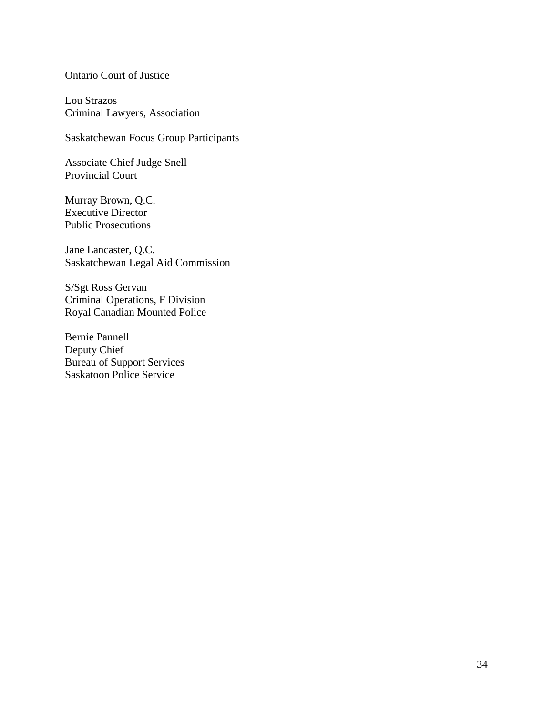Ontario Court of Justice

Lou Strazos Criminal Lawyers, Association

Saskatchewan Focus Group Participants

Associate Chief Judge Snell Provincial Court

Murray Brown, Q.C. Executive Director Public Prosecutions

Jane Lancaster, Q.C. Saskatchewan Legal Aid Commission

S/Sgt Ross Gervan Criminal Operations, F Division Royal Canadian Mounted Police

Bernie Pannell Deputy Chief Bureau of Support Services Saskatoon Police Service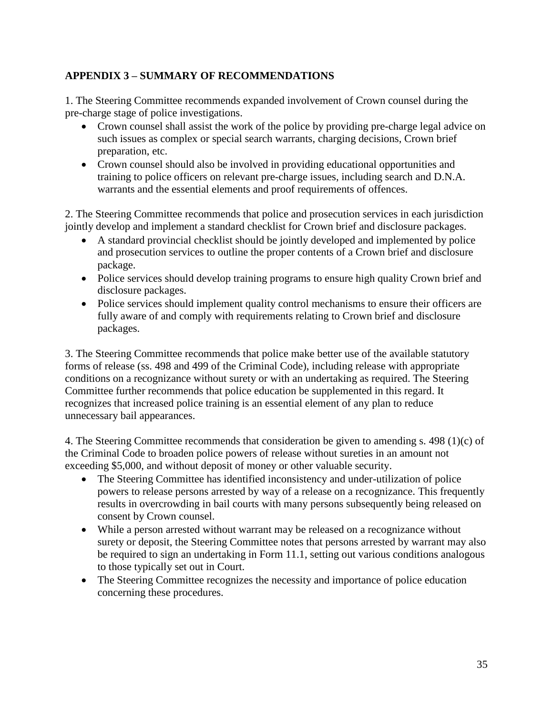## **APPENDIX 3 – SUMMARY OF RECOMMENDATIONS**

1. The Steering Committee recommends expanded involvement of Crown counsel during the pre-charge stage of police investigations.

- Crown counsel shall assist the work of the police by providing pre-charge legal advice on such issues as complex or special search warrants, charging decisions, Crown brief preparation, etc.
- Crown counsel should also be involved in providing educational opportunities and training to police officers on relevant pre-charge issues, including search and D.N.A. warrants and the essential elements and proof requirements of offences.

2. The Steering Committee recommends that police and prosecution services in each jurisdiction jointly develop and implement a standard checklist for Crown brief and disclosure packages.

- A standard provincial checklist should be jointly developed and implemented by police and prosecution services to outline the proper contents of a Crown brief and disclosure package.
- Police services should develop training programs to ensure high quality Crown brief and disclosure packages.
- Police services should implement quality control mechanisms to ensure their officers are fully aware of and comply with requirements relating to Crown brief and disclosure packages.

3. The Steering Committee recommends that police make better use of the available statutory forms of release (ss. 498 and 499 of the Criminal Code), including release with appropriate conditions on a recognizance without surety or with an undertaking as required. The Steering Committee further recommends that police education be supplemented in this regard. It recognizes that increased police training is an essential element of any plan to reduce unnecessary bail appearances.

4. The Steering Committee recommends that consideration be given to amending s. 498 (1)(c) of the Criminal Code to broaden police powers of release without sureties in an amount not exceeding \$5,000, and without deposit of money or other valuable security.

- The Steering Committee has identified inconsistency and under-utilization of police powers to release persons arrested by way of a release on a recognizance. This frequently results in overcrowding in bail courts with many persons subsequently being released on consent by Crown counsel.
- While a person arrested without warrant may be released on a recognizance without surety or deposit, the Steering Committee notes that persons arrested by warrant may also be required to sign an undertaking in Form 11.1, setting out various conditions analogous to those typically set out in Court.
- The Steering Committee recognizes the necessity and importance of police education concerning these procedures.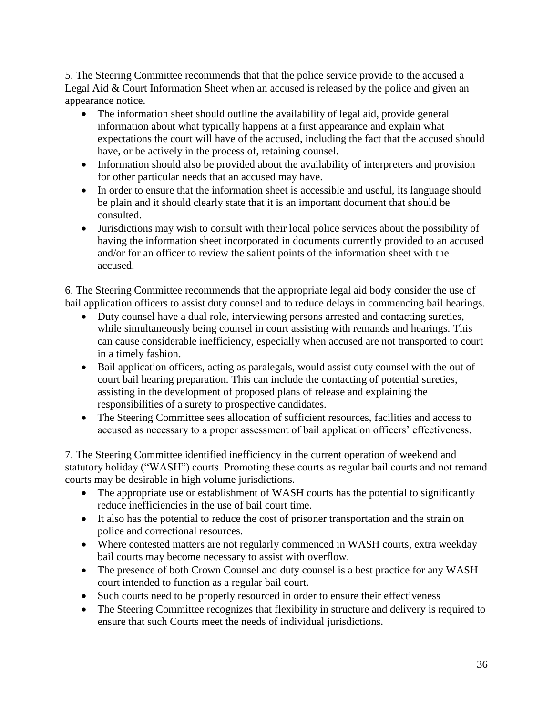5. The Steering Committee recommends that that the police service provide to the accused a Legal Aid & Court Information Sheet when an accused is released by the police and given an appearance notice.

- The information sheet should outline the availability of legal aid, provide general information about what typically happens at a first appearance and explain what expectations the court will have of the accused, including the fact that the accused should have, or be actively in the process of, retaining counsel.
- Information should also be provided about the availability of interpreters and provision for other particular needs that an accused may have.
- In order to ensure that the information sheet is accessible and useful, its language should be plain and it should clearly state that it is an important document that should be consulted.
- Jurisdictions may wish to consult with their local police services about the possibility of having the information sheet incorporated in documents currently provided to an accused and/or for an officer to review the salient points of the information sheet with the accused.

6. The Steering Committee recommends that the appropriate legal aid body consider the use of bail application officers to assist duty counsel and to reduce delays in commencing bail hearings.

- Duty counsel have a dual role, interviewing persons arrested and contacting sureties, while simultaneously being counsel in court assisting with remands and hearings. This can cause considerable inefficiency, especially when accused are not transported to court in a timely fashion.
- Bail application officers, acting as paralegals, would assist duty counsel with the out of court bail hearing preparation. This can include the contacting of potential sureties, assisting in the development of proposed plans of release and explaining the responsibilities of a surety to prospective candidates.
- The Steering Committee sees allocation of sufficient resources, facilities and access to accused as necessary to a proper assessment of bail application officers' effectiveness.

7. The Steering Committee identified inefficiency in the current operation of weekend and statutory holiday ("WASH") courts. Promoting these courts as regular bail courts and not remand courts may be desirable in high volume jurisdictions.

- The appropriate use or establishment of WASH courts has the potential to significantly reduce inefficiencies in the use of bail court time.
- It also has the potential to reduce the cost of prisoner transportation and the strain on police and correctional resources.
- Where contested matters are not regularly commenced in WASH courts, extra weekday bail courts may become necessary to assist with overflow.
- The presence of both Crown Counsel and duty counsel is a best practice for any WASH court intended to function as a regular bail court.
- Such courts need to be properly resourced in order to ensure their effectiveness
- The Steering Committee recognizes that flexibility in structure and delivery is required to ensure that such Courts meet the needs of individual jurisdictions.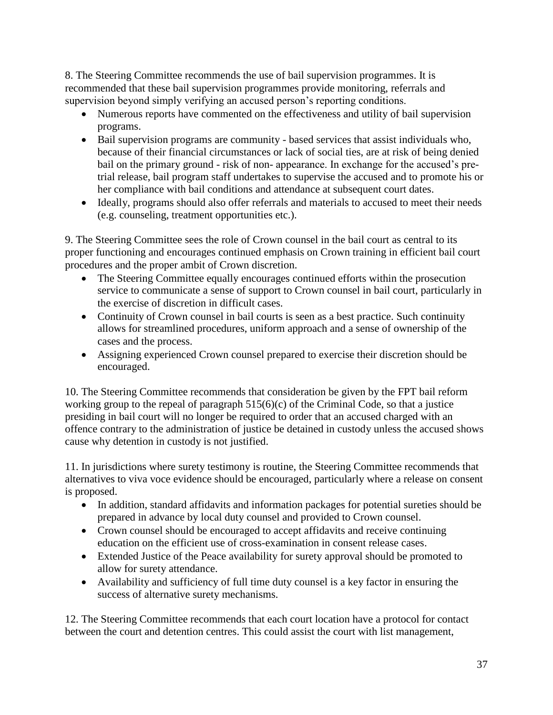8. The Steering Committee recommends the use of bail supervision programmes. It is recommended that these bail supervision programmes provide monitoring, referrals and supervision beyond simply verifying an accused person's reporting conditions.

- Numerous reports have commented on the effectiveness and utility of bail supervision programs.
- Bail supervision programs are community based services that assist individuals who, because of their financial circumstances or lack of social ties, are at risk of being denied bail on the primary ground - risk of non- appearance. In exchange for the accused's pretrial release, bail program staff undertakes to supervise the accused and to promote his or her compliance with bail conditions and attendance at subsequent court dates.
- Ideally, programs should also offer referrals and materials to accused to meet their needs (e.g. counseling, treatment opportunities etc.).

9. The Steering Committee sees the role of Crown counsel in the bail court as central to its proper functioning and encourages continued emphasis on Crown training in efficient bail court procedures and the proper ambit of Crown discretion.

- The Steering Committee equally encourages continued efforts within the prosecution service to communicate a sense of support to Crown counsel in bail court, particularly in the exercise of discretion in difficult cases.
- Continuity of Crown counsel in bail courts is seen as a best practice. Such continuity allows for streamlined procedures, uniform approach and a sense of ownership of the cases and the process.
- Assigning experienced Crown counsel prepared to exercise their discretion should be encouraged.

10. The Steering Committee recommends that consideration be given by the FPT bail reform working group to the repeal of paragraph  $515(6)(c)$  of the Criminal Code, so that a justice presiding in bail court will no longer be required to order that an accused charged with an offence contrary to the administration of justice be detained in custody unless the accused shows cause why detention in custody is not justified.

11. In jurisdictions where surety testimony is routine, the Steering Committee recommends that alternatives to viva voce evidence should be encouraged, particularly where a release on consent is proposed.

- In addition, standard affidavits and information packages for potential sureties should be prepared in advance by local duty counsel and provided to Crown counsel.
- Crown counsel should be encouraged to accept affidavits and receive continuing education on the efficient use of cross-examination in consent release cases.
- Extended Justice of the Peace availability for surety approval should be promoted to allow for surety attendance.
- Availability and sufficiency of full time duty counsel is a key factor in ensuring the success of alternative surety mechanisms.

12. The Steering Committee recommends that each court location have a protocol for contact between the court and detention centres. This could assist the court with list management,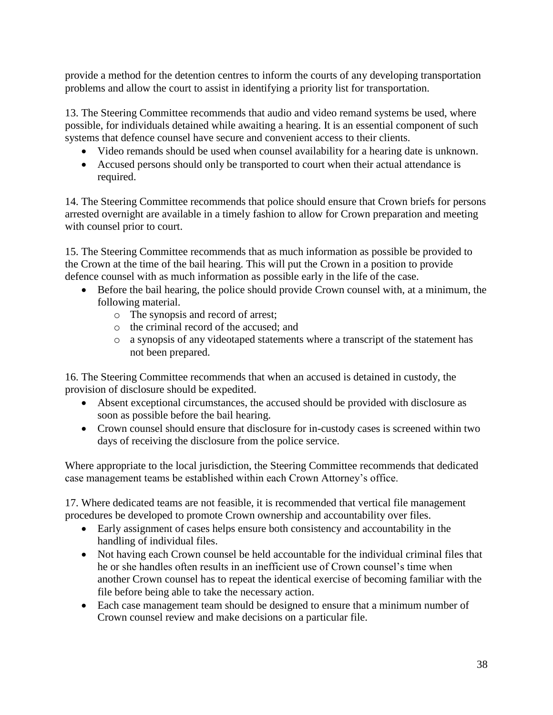provide a method for the detention centres to inform the courts of any developing transportation problems and allow the court to assist in identifying a priority list for transportation.

13. The Steering Committee recommends that audio and video remand systems be used, where possible, for individuals detained while awaiting a hearing. It is an essential component of such systems that defence counsel have secure and convenient access to their clients.

- Video remands should be used when counsel availability for a hearing date is unknown.
- Accused persons should only be transported to court when their actual attendance is required.

14. The Steering Committee recommends that police should ensure that Crown briefs for persons arrested overnight are available in a timely fashion to allow for Crown preparation and meeting with counsel prior to court.

15. The Steering Committee recommends that as much information as possible be provided to the Crown at the time of the bail hearing. This will put the Crown in a position to provide defence counsel with as much information as possible early in the life of the case.

- Before the bail hearing, the police should provide Crown counsel with, at a minimum, the following material.
	- o The synopsis and record of arrest;
	- o the criminal record of the accused; and
	- o a synopsis of any videotaped statements where a transcript of the statement has not been prepared.

16. The Steering Committee recommends that when an accused is detained in custody, the provision of disclosure should be expedited.

- Absent exceptional circumstances, the accused should be provided with disclosure as soon as possible before the bail hearing.
- Crown counsel should ensure that disclosure for in-custody cases is screened within two days of receiving the disclosure from the police service.

Where appropriate to the local jurisdiction, the Steering Committee recommends that dedicated case management teams be established within each Crown Attorney's office.

17. Where dedicated teams are not feasible, it is recommended that vertical file management procedures be developed to promote Crown ownership and accountability over files.

- Early assignment of cases helps ensure both consistency and accountability in the handling of individual files.
- Not having each Crown counsel be held accountable for the individual criminal files that he or she handles often results in an inefficient use of Crown counsel's time when another Crown counsel has to repeat the identical exercise of becoming familiar with the file before being able to take the necessary action.
- Each case management team should be designed to ensure that a minimum number of Crown counsel review and make decisions on a particular file.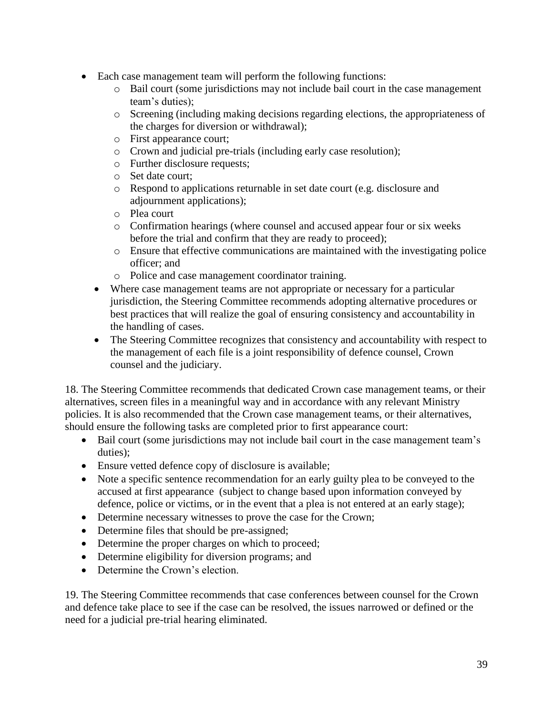- Each case management team will perform the following functions:
	- o Bail court (some jurisdictions may not include bail court in the case management team's duties);
	- o Screening (including making decisions regarding elections, the appropriateness of the charges for diversion or withdrawal);
	- o First appearance court;
	- o Crown and judicial pre-trials (including early case resolution);
	- o Further disclosure requests;
	- o Set date court;
	- o Respond to applications returnable in set date court (e.g. disclosure and adjournment applications);
	- o Plea court
	- o Confirmation hearings (where counsel and accused appear four or six weeks before the trial and confirm that they are ready to proceed);
	- o Ensure that effective communications are maintained with the investigating police officer; and
	- o Police and case management coordinator training.
	- Where case management teams are not appropriate or necessary for a particular jurisdiction, the Steering Committee recommends adopting alternative procedures or best practices that will realize the goal of ensuring consistency and accountability in the handling of cases.
	- The Steering Committee recognizes that consistency and accountability with respect to the management of each file is a joint responsibility of defence counsel, Crown counsel and the judiciary.

18. The Steering Committee recommends that dedicated Crown case management teams, or their alternatives, screen files in a meaningful way and in accordance with any relevant Ministry policies. It is also recommended that the Crown case management teams, or their alternatives, should ensure the following tasks are completed prior to first appearance court:

- Bail court (some jurisdictions may not include bail court in the case management team's duties);
- Ensure vetted defence copy of disclosure is available;
- Note a specific sentence recommendation for an early guilty plea to be conveyed to the accused at first appearance (subject to change based upon information conveyed by defence, police or victims, or in the event that a plea is not entered at an early stage);
- Determine necessary witnesses to prove the case for the Crown;
- Determine files that should be pre-assigned;
- Determine the proper charges on which to proceed;
- Determine eligibility for diversion programs; and
- Determine the Crown's election.

19. The Steering Committee recommends that case conferences between counsel for the Crown and defence take place to see if the case can be resolved, the issues narrowed or defined or the need for a judicial pre-trial hearing eliminated.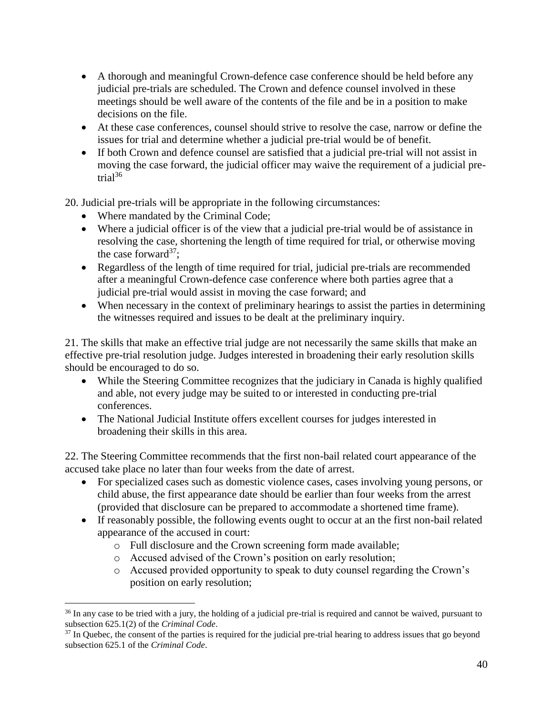- A thorough and meaningful Crown-defence case conference should be held before any judicial pre-trials are scheduled. The Crown and defence counsel involved in these meetings should be well aware of the contents of the file and be in a position to make decisions on the file.
- At these case conferences, counsel should strive to resolve the case, narrow or define the issues for trial and determine whether a judicial pre-trial would be of benefit.
- If both Crown and defence counsel are satisfied that a judicial pre-trial will not assist in moving the case forward, the judicial officer may waive the requirement of a judicial pretrial $36$

20. Judicial pre-trials will be appropriate in the following circumstances:

• Where mandated by the Criminal Code;

 $\overline{a}$ 

- Where a judicial officer is of the view that a judicial pre-trial would be of assistance in resolving the case, shortening the length of time required for trial, or otherwise moving the case forward<sup>37</sup>;
- Regardless of the length of time required for trial, judicial pre-trials are recommended after a meaningful Crown-defence case conference where both parties agree that a judicial pre-trial would assist in moving the case forward; and
- When necessary in the context of preliminary hearings to assist the parties in determining the witnesses required and issues to be dealt at the preliminary inquiry.

21. The skills that make an effective trial judge are not necessarily the same skills that make an effective pre-trial resolution judge. Judges interested in broadening their early resolution skills should be encouraged to do so.

- While the Steering Committee recognizes that the judiciary in Canada is highly qualified and able, not every judge may be suited to or interested in conducting pre-trial conferences.
- The National Judicial Institute offers excellent courses for judges interested in broadening their skills in this area.

22. The Steering Committee recommends that the first non-bail related court appearance of the accused take place no later than four weeks from the date of arrest.

- For specialized cases such as domestic violence cases, cases involving young persons, or child abuse, the first appearance date should be earlier than four weeks from the arrest (provided that disclosure can be prepared to accommodate a shortened time frame).
- If reasonably possible, the following events ought to occur at an the first non-bail related appearance of the accused in court:
	- o Full disclosure and the Crown screening form made available;
	- o Accused advised of the Crown's position on early resolution;
	- o Accused provided opportunity to speak to duty counsel regarding the Crown's position on early resolution;

<sup>&</sup>lt;sup>36</sup> In any case to be tried with a jury, the holding of a judicial pre-trial is required and cannot be waived, pursuant to subsection 625.1(2) of the *Criminal Code*.

<sup>&</sup>lt;sup>37</sup> In Quebec, the consent of the parties is required for the judicial pre-trial hearing to address issues that go beyond subsection 625.1 of the *Criminal Code*.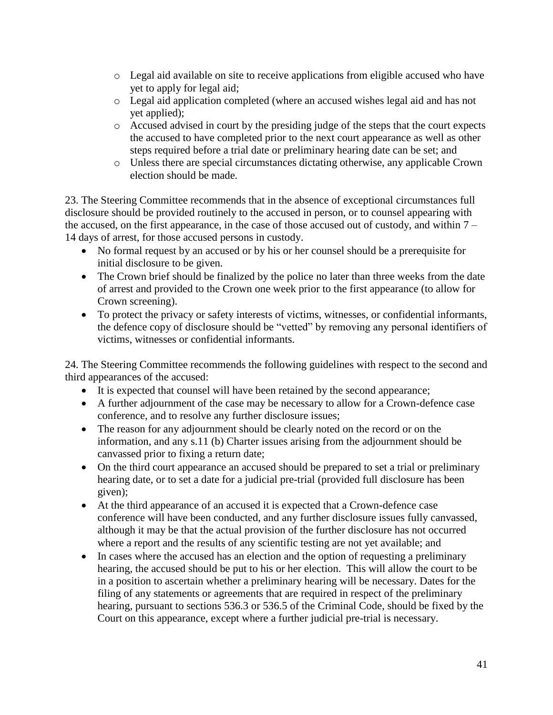- o Legal aid available on site to receive applications from eligible accused who have yet to apply for legal aid;
- o Legal aid application completed (where an accused wishes legal aid and has not yet applied);
- o Accused advised in court by the presiding judge of the steps that the court expects the accused to have completed prior to the next court appearance as well as other steps required before a trial date or preliminary hearing date can be set; and
- o Unless there are special circumstances dictating otherwise, any applicable Crown election should be made.

23. The Steering Committee recommends that in the absence of exceptional circumstances full disclosure should be provided routinely to the accused in person, or to counsel appearing with the accused, on the first appearance, in the case of those accused out of custody, and within  $7 -$ 14 days of arrest, for those accused persons in custody.

- No formal request by an accused or by his or her counsel should be a prerequisite for initial disclosure to be given.
- The Crown brief should be finalized by the police no later than three weeks from the date of arrest and provided to the Crown one week prior to the first appearance (to allow for Crown screening).
- To protect the privacy or safety interests of victims, witnesses, or confidential informants, the defence copy of disclosure should be "vetted" by removing any personal identifiers of victims, witnesses or confidential informants.

24. The Steering Committee recommends the following guidelines with respect to the second and third appearances of the accused:

- It is expected that counsel will have been retained by the second appearance;
- A further adjournment of the case may be necessary to allow for a Crown-defence case conference, and to resolve any further disclosure issues;
- The reason for any adjournment should be clearly noted on the record or on the information, and any s.11 (b) Charter issues arising from the adjournment should be canvassed prior to fixing a return date;
- On the third court appearance an accused should be prepared to set a trial or preliminary hearing date, or to set a date for a judicial pre-trial (provided full disclosure has been given);
- At the third appearance of an accused it is expected that a Crown-defence case conference will have been conducted, and any further disclosure issues fully canvassed, although it may be that the actual provision of the further disclosure has not occurred where a report and the results of any scientific testing are not yet available; and
- In cases where the accused has an election and the option of requesting a preliminary hearing, the accused should be put to his or her election. This will allow the court to be in a position to ascertain whether a preliminary hearing will be necessary. Dates for the filing of any statements or agreements that are required in respect of the preliminary hearing, pursuant to sections 536.3 or 536.5 of the Criminal Code, should be fixed by the Court on this appearance, except where a further judicial pre-trial is necessary.